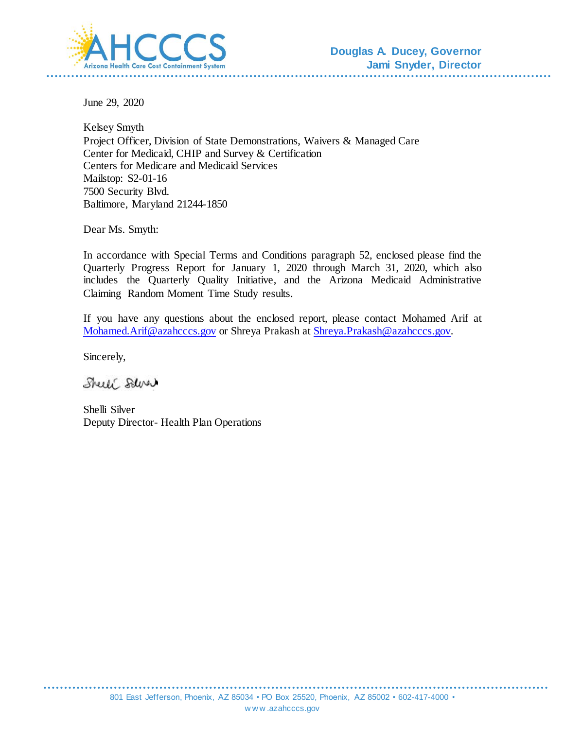

June 29, 2020

Kelsey Smyth Project Officer, Division of State Demonstrations, Waivers & Managed Care Center for Medicaid, CHIP and Survey & Certification Centers for Medicare and Medicaid Services Mailstop: S2-01-16 7500 Security Blvd. Baltimore, Maryland 21244-1850

Dear Ms. Smyth:

In accordance with Special Terms and Conditions paragraph 52, enclosed please find the Quarterly Progress Report for January 1, 2020 through March 31, 2020, which also includes the Quarterly Quality Initiative, and the Arizona Medicaid Administrative Claiming Random Moment Time Study results.

If you have any questions about the enclosed report, please contact Mohamed Arif at [Mohamed.Arif@azahcccs.gov](mailto:Mohamed.Arif@azahcccs.gov) or Shreya Prakash at [Shreya.Prakash@azahcccs.go](mailto:Shreya.Prakash@azahcccs.gov)v.

Sincerely,

Shell Salve

Shelli Silver Deputy Director- Health Plan Operations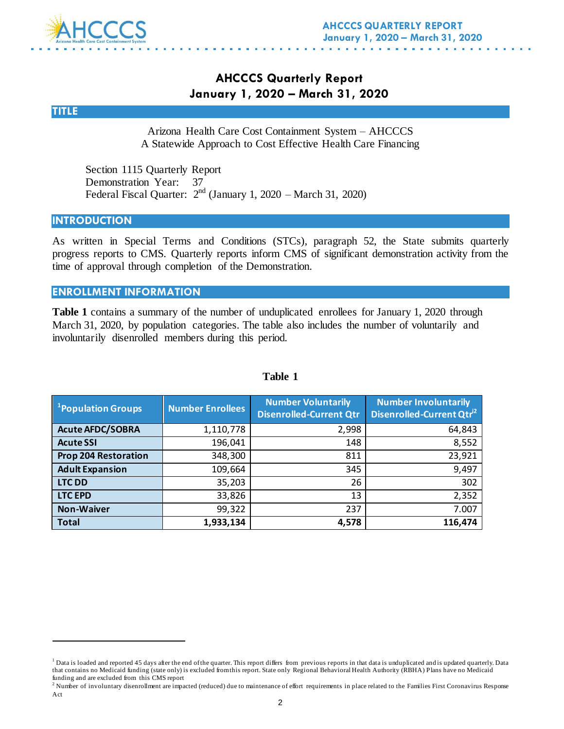

## **AHCCCS Quarterly Report January 1, 2020 – March 31, 2020**

**TITLE**

l

Arizona Health Care Cost Containment System – AHCCCS A Statewide Approach to Cost Effective Health Care Financing

Section 1115 Quarterly Report Demonstration Year: 37 Federal Fiscal Quarter:  $2<sup>nd</sup>$  (January 1, 2020 – March 31, 2020)

#### **INTRODUCTION**

As written in Special Terms and Conditions (STCs), paragraph 52, the State submits quarterly progress reports to CMS. Quarterly reports inform CMS of significant demonstration activity from the time of approval through completion of the Demonstration.

#### **ENROLLMENT INFORMATION**

**Table 1** contains a summary of the number of unduplicated enrollees for January 1, 2020 through March 31, 2020, by population categories. The table also includes the number of voluntarily and involuntarily disenrolled members during this period.

| <sup>1</sup> Population Groups | <b>Number Enrollees</b> | <b>Number Voluntarily</b><br><b>Disenrolled-Current Qtr</b> | <b>Number Involuntarily</b><br>Disenrolled-Current Qtr <sup>i2</sup> |
|--------------------------------|-------------------------|-------------------------------------------------------------|----------------------------------------------------------------------|
| <b>Acute AFDC/SOBRA</b>        | 1,110,778               | 2,998                                                       | 64,843                                                               |
| <b>Acute SSI</b>               | 196,041                 | 148                                                         | 8,552                                                                |
| <b>Prop 204 Restoration</b>    | 348,300                 | 811                                                         | 23,921                                                               |
| <b>Adult Expansion</b>         | 109,664                 | 345                                                         | 9,497                                                                |
| <b>LTC DD</b>                  | 35,203                  | 26                                                          | 302                                                                  |
| <b>LTC EPD</b>                 | 33,826                  | 13                                                          | 2,352                                                                |
| <b>Non-Waiver</b>              | 99,322                  | 237                                                         | 7.007                                                                |
| <b>Total</b>                   | 1,933,134               | 4,578                                                       | 116,474                                                              |

#### **Table 1**

<sup>&</sup>lt;sup>1</sup> Data is loaded and reported 45 days after the end of the quarter. This report differs from previous reports in that data is unduplicated and is updated quarterly. Data that contains no Medicaid funding (state only) is excluded from this report. State only Regional Behavioral Health Authority (RBHA) Plans have no Medicaid funding and are excluded from this CMS report

<sup>&</sup>lt;sup>2</sup> Number of involuntary disenrollment are impacted (reduced) due to maintenance of effort requirements in place related to the Families First Coronavirus Response Act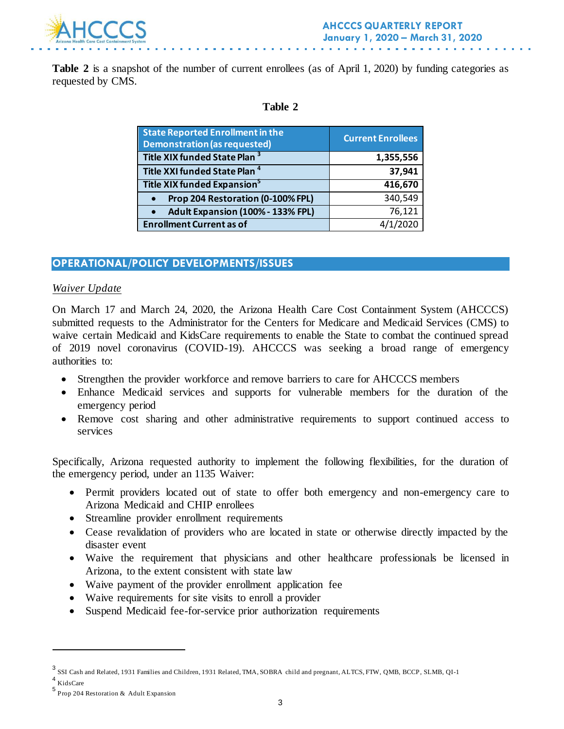

**Table 2** is a snapshot of the number of current enrollees (as of April 1, 2020) by funding categories as requested by CMS.

#### **Table 2**

| <b>State Reported Enrollment in the</b><br><b>Demonstration (as requested)</b> | <b>Current Enrollees</b> |
|--------------------------------------------------------------------------------|--------------------------|
| Title XIX funded State Plan <sup>3</sup>                                       | 1,355,556                |
| Title XXI funded State Plan <sup>4</sup>                                       | 37,941                   |
| Title XIX funded Expansion <sup>5</sup>                                        | 416,670                  |
| Prop 204 Restoration (0-100% FPL)<br>$\bullet$                                 | 340,549                  |
| Adult Expansion (100% - 133% FPL)<br>$\bullet$                                 | 76,121                   |
| <b>Enrollment Current as of</b>                                                |                          |

### **OPERATIONAL/POLICY DEVELOPMENTS/ISSUES**

#### *Waiver Update*

On March 17 and March 24, 2020, the Arizona Health Care Cost Containment System (AHCCCS) submitted requests to the Administrator for the Centers for Medicare and Medicaid Services (CMS) to waive certain Medicaid and KidsCare requirements to enable the State to combat the continued spread of 2019 novel coronavirus (COVID-19). AHCCCS was seeking a broad range of emergency authorities to:

- Strengthen the provider workforce and remove barriers to care for AHCCCS members
- Enhance Medicaid services and supports for vulnerable members for the duration of the emergency period
- Remove cost sharing and other administrative requirements to support continued access to services

Specifically, Arizona requested authority to implement the following flexibilities, for the duration of the emergency period, under an 1135 Waiver:

- Permit providers located out of state to offer both emergency and non-emergency care to Arizona Medicaid and CHIP enrollees
- Streamline provider enrollment requirements
- Cease revalidation of providers who are located in state or otherwise directly impacted by the disaster event
- Waive the requirement that physicians and other healthcare professionals be licensed in Arizona, to the extent consistent with state law
- Waive payment of the provider enrollment application fee
- Waive requirements for site visits to enroll a provider
- Suspend Medicaid fee-for-service prior authorization requirements

l

<sup>3</sup> SSI Cash and Related, 1931 Families and Children, 1931 Related, TMA, SOBRA child and pregnant, ALTCS, FTW, QMB, BCCP, SLMB, QI-1 4 KidsCare

<sup>5</sup> Prop 204 Restoration & Adult Expansion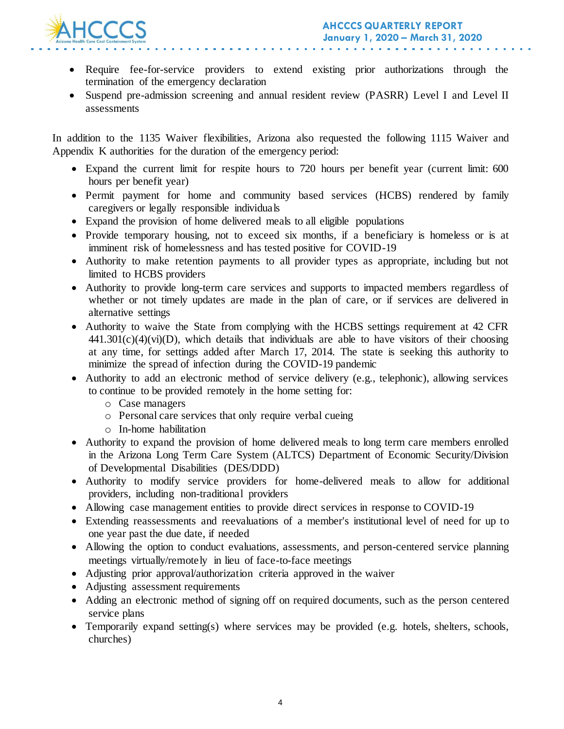

- Require fee-for-service providers to extend existing prior authorizations through the termination of the emergency declaration
- Suspend pre-admission screening and annual resident review (PASRR) Level I and Level II assessments

In addition to the 1135 Waiver flexibilities, Arizona also requested the following 1115 Waiver and Appendix K authorities for the duration of the emergency period:

- Expand the current limit for respite hours to 720 hours per benefit year (current limit: 600 hours per benefit year)
- Permit payment for home and community based services (HCBS) rendered by family caregivers or legally responsible individuals
- Expand the provision of home delivered meals to all eligible populations
- Provide temporary housing, not to exceed six months, if a beneficiary is homeless or is at imminent risk of homelessness and has tested positive for COVID-19
- Authority to make retention payments to all provider types as appropriate, including but not limited to HCBS providers
- Authority to provide long-term care services and supports to impacted members regardless of whether or not timely updates are made in the plan of care, or if services are delivered in alternative settings
- Authority to waive the State from complying with the HCBS settings requirement at 42 CFR  $441.301(c)(4)(vi)(D)$ , which details that individuals are able to have visitors of their choosing at any time, for settings added after March 17, 2014. The state is seeking this authority to minimize the spread of infection during the COVID-19 pandemic
- Authority to add an electronic method of service delivery (e.g., telephonic), allowing services to continue to be provided remotely in the home setting for:
	- o Case managers
	- o Personal care services that only require verbal cueing
	- o In-home habilitation
- Authority to expand the provision of home delivered meals to long term care members enrolled in the Arizona Long Term Care System (ALTCS) Department of Economic Security/Division of Developmental Disabilities (DES/DDD)
- Authority to modify service providers for home-delivered meals to allow for additional providers, including non-traditional providers
- Allowing case management entities to provide direct services in response to COVID-19
- Extending reassessments and reevaluations of a member's institutional level of need for up to one year past the due date, if needed
- Allowing the option to conduct evaluations, assessments, and person-centered service planning meetings virtually/remotely in lieu of face-to-face meetings
- Adjusting prior approval/authorization criteria approved in the waiver
- Adjusting assessment requirements
- Adding an electronic method of signing off on required documents, such as the person centered service plans
- Temporarily expand setting(s) where services may be provided (e.g. hotels, shelters, schools, churches)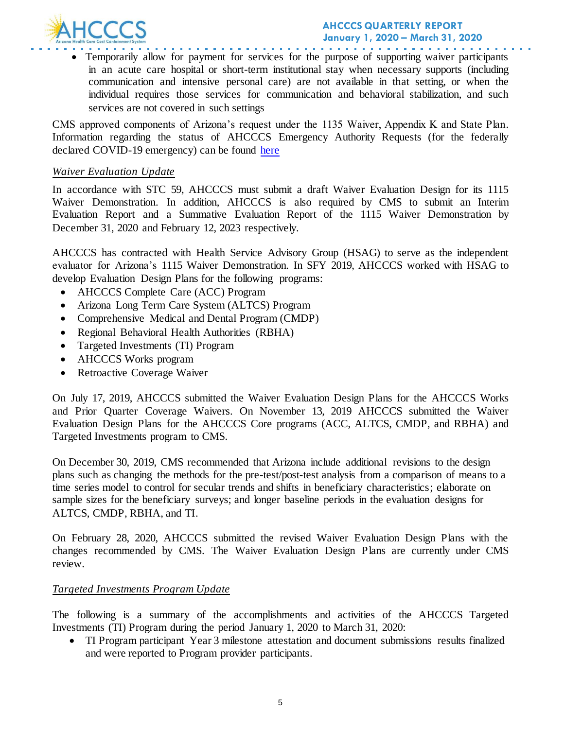

 Temporarily allow for payment for services for the purpose of supporting waiver participants in an acute care hospital or short-term institutional stay when necessary supports (including communication and intensive personal care) are not available in that setting, or when the individual requires those services for communication and behavioral stabilization, and such services are not covered in such settings

CMS approved components of Arizona's request under the 1135 Waiver, Appendix K and State Plan. Information regarding the status of AHCCCS Emergency Authority Requests (for the federally declared COVID-19 emergency) can be found [here](https://azahcccs.gov/Resources/Federal/PendingWaivers/1135.html)

#### *Waiver Evaluation Update*

In accordance with STC 59, AHCCCS must submit a draft Waiver Evaluation Design for its 1115 Waiver Demonstration. In addition, AHCCCS is also required by CMS to submit an Interim Evaluation Report and a Summative Evaluation Report of the 1115 Waiver Demonstration by December 31, 2020 and February 12, 2023 respectively.

AHCCCS has contracted with Health Service Advisory Group (HSAG) to serve as the independent evaluator for Arizona's 1115 Waiver Demonstration. In SFY 2019, AHCCCS worked with HSAG to develop Evaluation Design Plans for the following programs:

- AHCCCS Complete Care (ACC) Program
- Arizona Long Term Care System (ALTCS) Program
- Comprehensive Medical and Dental Program (CMDP)
- Regional Behavioral Health Authorities (RBHA)
- Targeted Investments (TI) Program
- AHCCCS Works program
- Retroactive Coverage Waiver

On July 17, 2019, AHCCCS submitted the Waiver Evaluation Design Plans for the AHCCCS Works and Prior Quarter Coverage Waivers. On November 13, 2019 AHCCCS submitted the Waiver Evaluation Design Plans for the AHCCCS Core programs (ACC, ALTCS, CMDP, and RBHA) and Targeted Investments program to CMS.

On December 30, 2019, CMS recommended that Arizona include additional revisions to the design plans such as changing the methods for the pre-test/post-test analysis from a comparison of means to a time series model to control for secular trends and shifts in beneficiary characteristics; elaborate on sample sizes for the beneficiary surveys; and longer baseline periods in the evaluation designs for ALTCS, CMDP, RBHA, and TI.

On February 28, 2020, AHCCCS submitted the revised Waiver Evaluation Design Plans with the changes recommended by CMS. The Waiver Evaluation Design Plans are currently under CMS review.

#### *Targeted Investments Program Update*

The following is a summary of the accomplishments and activities of the AHCCCS Targeted Investments (TI) Program during the period January 1, 2020 to March 31, 2020:

 TI Program participant Year 3 milestone attestation and document submissions results finalized and were reported to Program provider participants.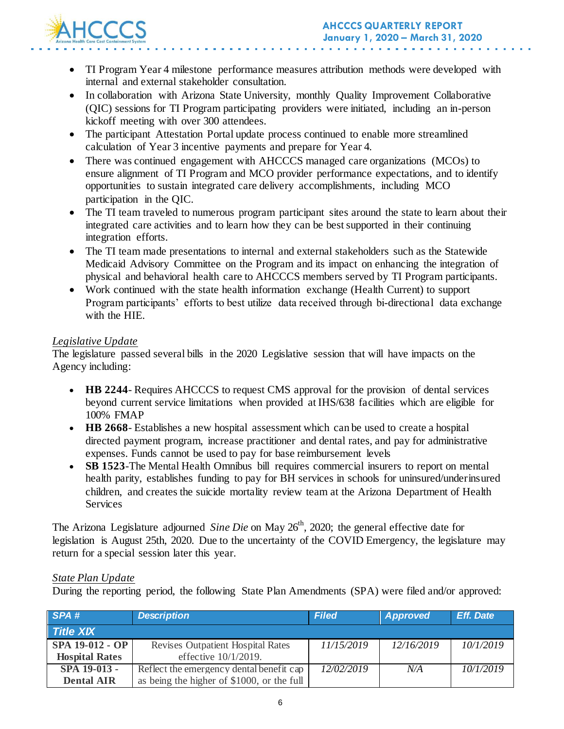

- TI Program Year 4 milestone performance measures attribution methods were developed with internal and external stakeholder consultation.
- In collaboration with Arizona State University, monthly Quality Improvement Collaborative (QIC) sessions for TI Program participating providers were initiated, including an in-person kickoff meeting with over 300 attendees.
- The participant Attestation Portal update process continued to enable more streamlined calculation of Year 3 incentive payments and prepare for Year 4.
- There was continued engagement with AHCCCS managed care organizations (MCOs) to ensure alignment of TI Program and MCO provider performance expectations, and to identify opportunities to sustain integrated care delivery accomplishments, including MCO participation in the QIC.
- The TI team traveled to numerous program participant sites around the state to learn about their integrated care activities and to learn how they can be best supported in their continuing integration efforts.
- The TI team made presentations to internal and external stakeholders such as the Statewide Medicaid Advisory Committee on the Program and its impact on enhancing the integration of physical and behavioral health care to AHCCCS members served by TI Program participants.
- Work continued with the state health information exchange (Health Current) to support Program participants' efforts to best utilize data received through bi-directional data exchange with the HIE.

### *Legislative Update*

The legislature passed several bills in the 2020 Legislative session that will have impacts on the Agency including:

- **HB 2244** Requires AHCCCS to request CMS approval for the provision of dental services beyond current service limitations when provided at IHS/638 facilities which are eligible for 100% FMAP
- **HB 2668** Establishes a new hospital assessment which can be used to create a hospital directed payment program, increase practitioner and dental rates, and pay for administrative expenses. Funds cannot be used to pay for base reimbursement levels
- **SB 1523**-The Mental Health Omnibus bill requires commercial insurers to report on mental health parity, establishes funding to pay for BH services in schools for uninsured/underinsured children, and creates the suicide mortality review team at the Arizona Department of Health Services

The Arizona Legislature adjourned *Sine Die* on May 26<sup>th</sup>, 2020; the general effective date for legislation is August 25th, 2020. Due to the uncertainty of the COVID Emergency, the legislature may return for a special session later this year.

### *State Plan Update*

During the reporting period, the following State Plan Amendments (SPA) were filed and/or approved:

| SPA#                   | <b>Description</b>                         | <b>Filed</b> | Approved   | <b>Eff.</b> Date |
|------------------------|--------------------------------------------|--------------|------------|------------------|
| <b>Title XIX</b>       |                                            |              |            |                  |
| <b>SPA 19-012 - OP</b> | <b>Revises Outpatient Hospital Rates</b>   | 11/15/2019   | 12/16/2019 | 10/1/2019        |
| <b>Hospital Rates</b>  | effective $10/1/2019$ .                    |              |            |                  |
| SPA 19-013 -           | Reflect the emergency dental benefit cap   | 12/02/2019   | N/A        | 10/1/2019        |
| <b>Dental AIR</b>      | as being the higher of \$1000, or the full |              |            |                  |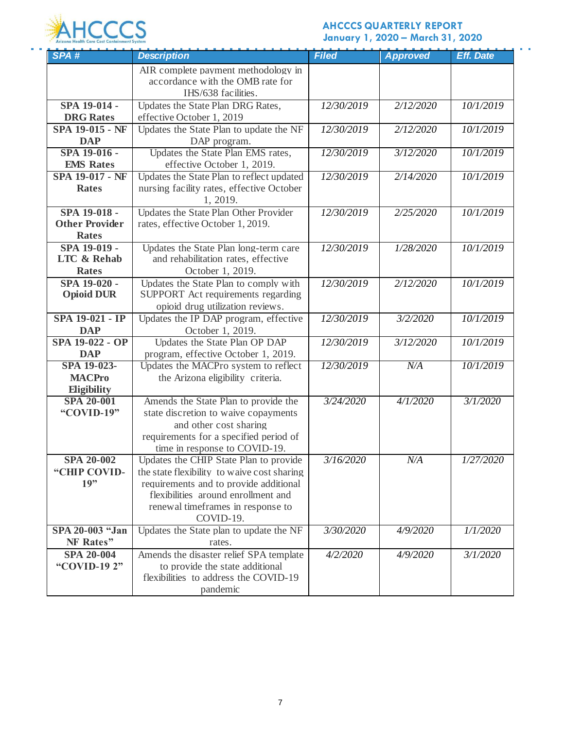

### **AHCCCS QUARTERLY REPORT January 1, 2020 – March 31, 2020**

 $\mathbf{r} \in \mathbb{R}^d$ 

| SPA#                                   | <b>Description</b>                                                           | <b>Filed</b> | <b>Approved</b> | <b>Eff. Date</b> |
|----------------------------------------|------------------------------------------------------------------------------|--------------|-----------------|------------------|
|                                        | AIR complete payment methodology in                                          |              |                 |                  |
|                                        | accordance with the OMB rate for                                             |              |                 |                  |
|                                        | IHS/638 facilities.                                                          |              |                 |                  |
| SPA 19-014 -                           | Updates the State Plan DRG Rates,                                            | 12/30/2019   | 2/12/2020       | 10/1/2019        |
| <b>DRG</b> Rates                       | effective October 1, 2019                                                    |              |                 |                  |
| SPA 19-015 - NF                        | Updates the State Plan to update the NF                                      | 12/30/2019   | 2/12/2020       | 10/1/2019        |
| <b>DAP</b>                             | DAP program.                                                                 |              |                 |                  |
| SPA 19-016 -                           | Updates the State Plan EMS rates,                                            | 12/30/2019   | 3/12/2020       | 10/1/2019        |
| <b>EMS</b> Rates                       | effective October 1, 2019.                                                   |              |                 |                  |
| <b>SPA 19-017 - NF</b>                 | Updates the State Plan to reflect updated                                    | 12/30/2019   | 2/14/2020       | 10/1/2019        |
| <b>Rates</b>                           | nursing facility rates, effective October                                    |              |                 |                  |
|                                        | 1, 2019.                                                                     |              |                 |                  |
| SPA 19-018 -                           | Updates the State Plan Other Provider                                        | 12/30/2019   | 2/25/2020       | 10/1/2019        |
| <b>Other Provider</b>                  | rates, effective October 1, 2019.                                            |              |                 |                  |
| <b>Rates</b>                           |                                                                              | 12/30/2019   |                 |                  |
| SPA 19-019 -<br><b>LTC &amp; Rehab</b> | Updates the State Plan long-term care<br>and rehabilitation rates, effective |              | 1/28/2020       | 10/1/2019        |
| <b>Rates</b>                           | October 1, 2019.                                                             |              |                 |                  |
| SPA 19-020 -                           | Updates the State Plan to comply with                                        | 12/30/2019   | 2/12/2020       | 10/1/2019        |
| <b>Opioid DUR</b>                      | SUPPORT Act requirements regarding                                           |              |                 |                  |
|                                        | opioid drug utilization reviews.                                             |              |                 |                  |
| SPA 19-021 - IP                        | Updates the IP DAP program, effective                                        | 12/30/2019   | 3/2/2020        | 10/1/2019        |
| <b>DAP</b>                             | October 1, 2019.                                                             |              |                 |                  |
| SPA 19-022 - OP                        | Updates the State Plan OP DAP                                                | 12/30/2019   | 3/12/2020       | 10/1/2019        |
| <b>DAP</b>                             | program, effective October 1, 2019.                                          |              |                 |                  |
| SPA 19-023-                            | Updates the MACPro system to reflect                                         | 12/30/2019   | N/A             | 10/1/2019        |
| <b>MACPro</b>                          | the Arizona eligibility criteria.                                            |              |                 |                  |
| Eligibility                            |                                                                              |              |                 |                  |
| <b>SPA 20-001</b>                      | Amends the State Plan to provide the                                         | 3/24/2020    | 4/1/2020        | 3/1/2020         |
| "COVID-19"                             | state discretion to waive copayments                                         |              |                 |                  |
|                                        | and other cost sharing                                                       |              |                 |                  |
|                                        | requirements for a specified period of                                       |              |                 |                  |
|                                        | time in response to COVID-19.                                                |              |                 |                  |
| <b>SPA 20-002</b>                      | Updates the CHIP State Plan to provide                                       | 3/16/2020    | N/A             | 1/27/2020        |
| "CHIP COVID-                           | the state flexibility to waive cost sharing                                  |              |                 |                  |
| 19"                                    | requirements and to provide additional                                       |              |                 |                  |
|                                        | flexibilities around enrollment and                                          |              |                 |                  |
|                                        | renewal timeframes in response to                                            |              |                 |                  |
|                                        | COVID-19.                                                                    |              |                 |                  |
| SPA 20-003 "Jan                        | Updates the State plan to update the NF                                      | 3/30/2020    | 4/9/2020        | 1/1/2020         |
| NF Rates"                              | rates.                                                                       |              |                 |                  |
| <b>SPA 20-004</b><br>"COVID-19 2"      | Amends the disaster relief SPA template<br>to provide the state additional   | 4/2/2020     | 4/9/2020        | 3/1/2020         |
|                                        | flexibilities to address the COVID-19                                        |              |                 |                  |
|                                        | pandemic                                                                     |              |                 |                  |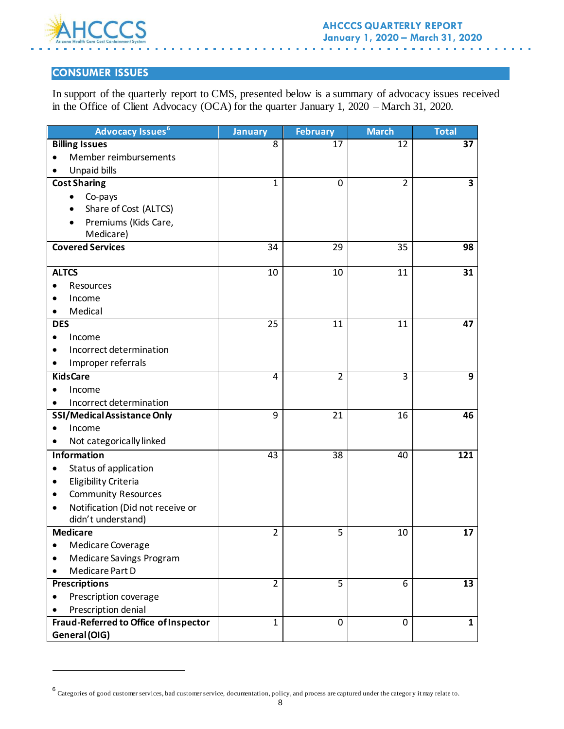

l

## **CONSUMER ISSUES**

In support of the quarterly report to CMS, presented below is a summary of advocacy issues received in the Office of Client Advocacy (OCA) for the quarter January 1, 2020 – March 31, 2020.

| <b>Advocacy Issues<sup>6</sup></b>    | <b>January</b>  | <b>February</b> | <b>March</b>   | <b>Total</b>   |
|---------------------------------------|-----------------|-----------------|----------------|----------------|
| <b>Billing Issues</b>                 | 8               | 17              | 12             | 37             |
| Member reimbursements<br>$\bullet$    |                 |                 |                |                |
| Unpaid bills<br>٠                     |                 |                 |                |                |
| <b>Cost Sharing</b>                   | 1               | 0               | $\overline{2}$ | 3              |
| Co-pays<br>٠                          |                 |                 |                |                |
| Share of Cost (ALTCS)                 |                 |                 |                |                |
| Premiums (Kids Care,                  |                 |                 |                |                |
| Medicare)                             |                 |                 |                |                |
| <b>Covered Services</b>               | 34              | 29              | 35             | 98             |
|                                       |                 |                 |                |                |
| <b>ALTCS</b>                          | 10              | 10              | 11             | 31             |
| Resources                             |                 |                 |                |                |
| Income                                |                 |                 |                |                |
| Medical<br>٠                          |                 |                 |                |                |
| <b>DES</b>                            | 25              | 11              | 11             | 47             |
| Income                                |                 |                 |                |                |
| Incorrect determination               |                 |                 |                |                |
| Improper referrals<br>٠               |                 |                 |                |                |
| <b>KidsCare</b>                       | 4               | $\overline{2}$  | 3              | $\overline{9}$ |
| Income<br>$\bullet$                   |                 |                 |                |                |
| Incorrect determination               |                 |                 |                |                |
| SSI/Medical Assistance Only           | 9               | 21              | 16             | 46             |
| Income                                |                 |                 |                |                |
| Not categorically linked              |                 |                 |                |                |
| <b>Information</b>                    | $\overline{43}$ | $\overline{38}$ | 40             | 121            |
| Status of application<br>٠            |                 |                 |                |                |
| Eligibility Criteria<br>٠             |                 |                 |                |                |
| <b>Community Resources</b><br>٠       |                 |                 |                |                |
| Notification (Did not receive or      |                 |                 |                |                |
| didn't understand)                    |                 |                 |                |                |
| <b>Medicare</b>                       | $\overline{2}$  | 5               | 10             | 17             |
| Medicare Coverage                     |                 |                 |                |                |
| Medicare Savings Program              |                 |                 |                |                |
| Medicare Part D                       |                 |                 |                |                |
| <b>Prescriptions</b>                  | $\overline{2}$  | $\overline{5}$  | 6              | 13             |
| Prescription coverage                 |                 |                 |                |                |
| Prescription denial                   |                 |                 |                |                |
| Fraud-Referred to Office of Inspector | $\mathbf{1}$    | $\mathbf 0$     | 0              | $\mathbf{1}$   |
| General (OIG)                         |                 |                 |                |                |

<sup>6</sup> Categories of good customer services, bad customer service, documentation, policy, and process are captured under the categor y it may relate to.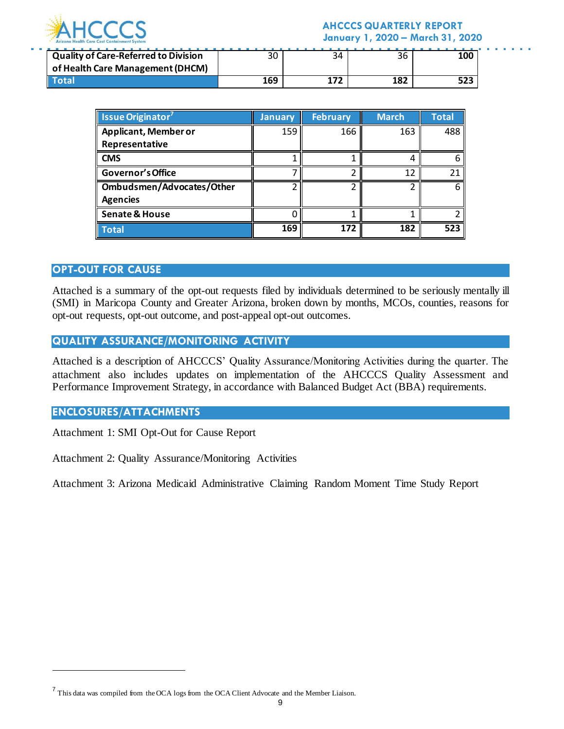

#### **AHCCCS QUARTERLY REPORT January 1, 2020 – March 31, 2020**

| <b>Quality of Care-Referred to Division</b> |     | 34 | 36  | 100 |
|---------------------------------------------|-----|----|-----|-----|
| of Health Care Management (DHCM)            |     |    |     |     |
|                                             | 169 |    | 187 |     |

| <b>Issue Originator</b> <sup>7</sup> | <b>January</b> | <b>February</b> | <b>March</b> | <b>Total</b> |
|--------------------------------------|----------------|-----------------|--------------|--------------|
| <b>Applicant, Member or</b>          | 159            | 166             | 163          | 488          |
| Representative                       |                |                 |              |              |
| <b>CMS</b>                           |                |                 |              |              |
| Governor's Office                    |                |                 | 12           | 21           |
| Ombudsmen/Advocates/Other            |                |                 |              |              |
| <b>Agencies</b>                      |                |                 |              |              |
| <b>Senate &amp; House</b>            |                |                 |              |              |
| <b>Total</b>                         | 169            | 172             | 182          | 523          |

#### **OPT-OUT FOR CAUSE**

Attached is a summary of the opt-out requests filed by individuals determined to be seriously mentally ill (SMI) in Maricopa County and Greater Arizona, broken down by months, MCOs, counties, reasons for opt-out requests, opt-out outcome, and post-appeal opt-out outcomes.

#### **QUALITY ASSURANCE/MONITORING ACTIVITY**

Attached is a description of AHCCCS' Quality Assurance/Monitoring Activities during the quarter. The attachment also includes updates on implementation of the AHCCCS Quality Assessment and Performance Improvement Strategy, in accordance with Balanced Budget Act (BBA) requirements.

#### **ENCLOSURES/ATTACHMENTS**

l

Attachment 1: SMI Opt-Out for Cause Report

Attachment 2: Quality Assurance/Monitoring Activities

Attachment 3: Arizona Medicaid Administrative Claiming Random Moment Time Study Report

<sup>&</sup>lt;sup>7</sup> This data was compiled from the OCA logs from the OCA Client Advocate and the Member Liaison.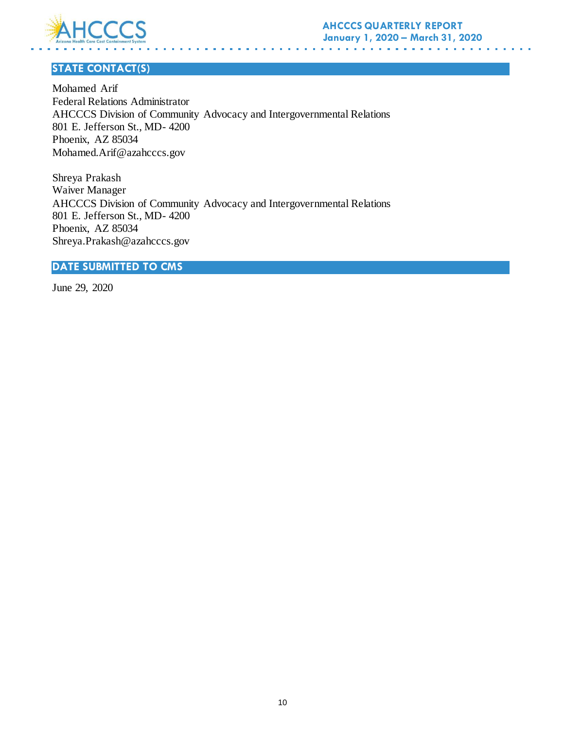

## **STATE CONTACT(S)**

Mohamed Arif Federal Relations Administrator AHCCCS Division of Community Advocacy and Intergovernmental Relations 801 E. Jefferson St., MD- 4200 Phoenix, AZ 85034 Mohamed.Arif@azahcccs.gov

Shreya Prakash Waiver Manager AHCCCS Division of Community Advocacy and Intergovernmental Relations 801 E. Jefferson St., MD- 4200 Phoenix, AZ 85034 Shreya.Prakash@azahcccs.gov

### **DATE SUBMITTED TO CMS**

June 29, 2020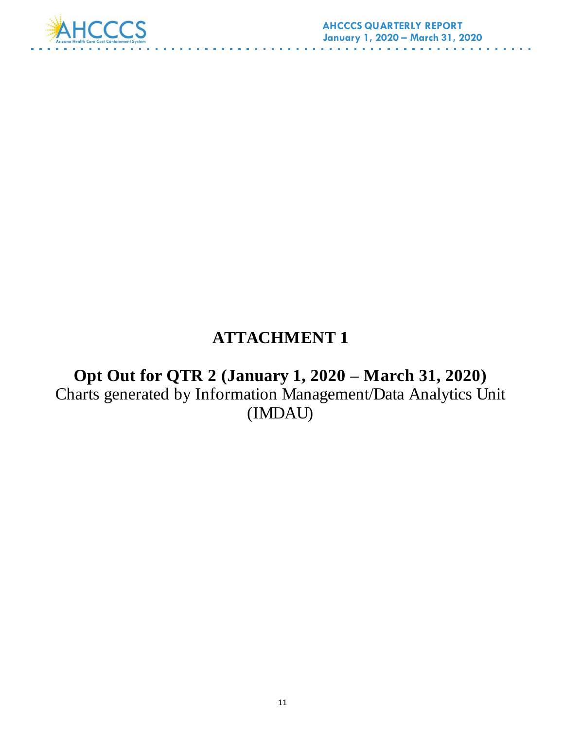

# **ATTACHMENT 1**

**Opt Out for QTR 2 (January 1, 2020 – March 31, 2020)** Charts generated by Information Management/Data Analytics Unit (IMDAU)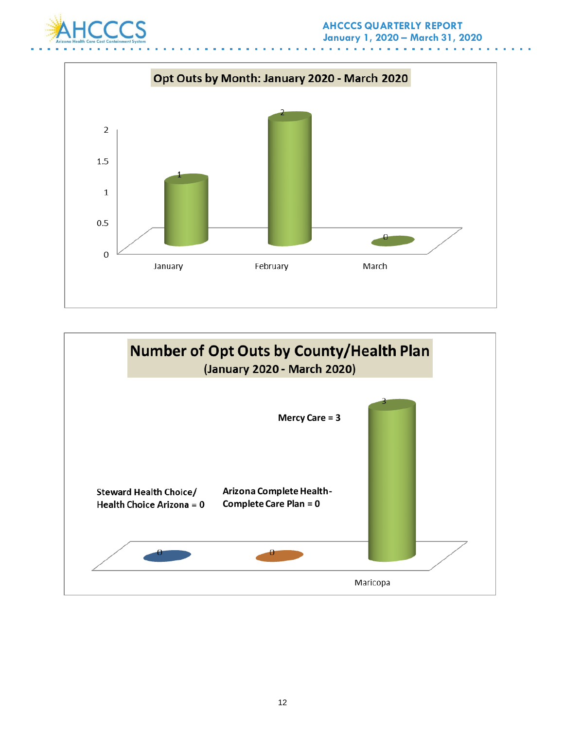



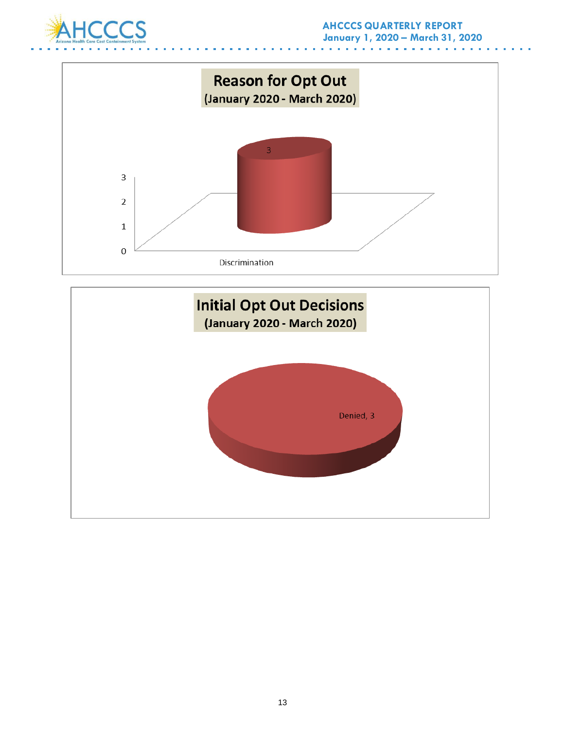



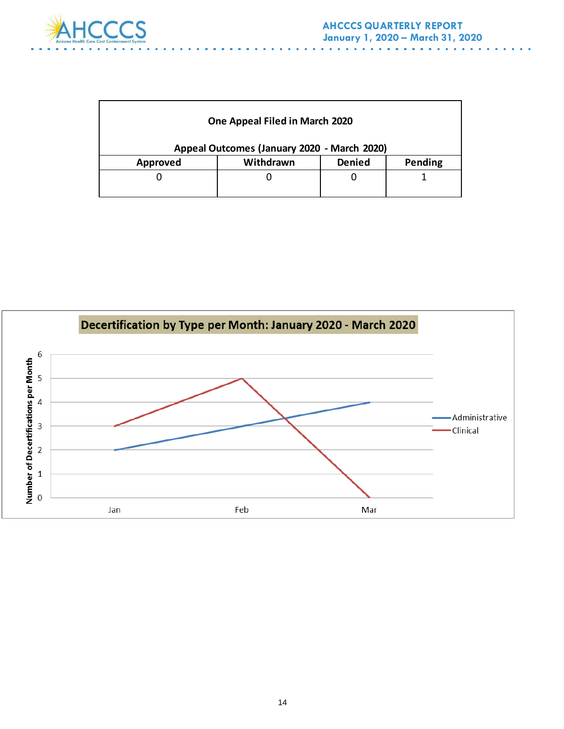

| One Appeal Filed in March 2020<br>Appeal Outcomes (January 2020 - March 2020) |           |               |         |
|-------------------------------------------------------------------------------|-----------|---------------|---------|
| <b>Approved</b>                                                               | Withdrawn | <b>Denied</b> | Pending |
|                                                                               |           |               |         |

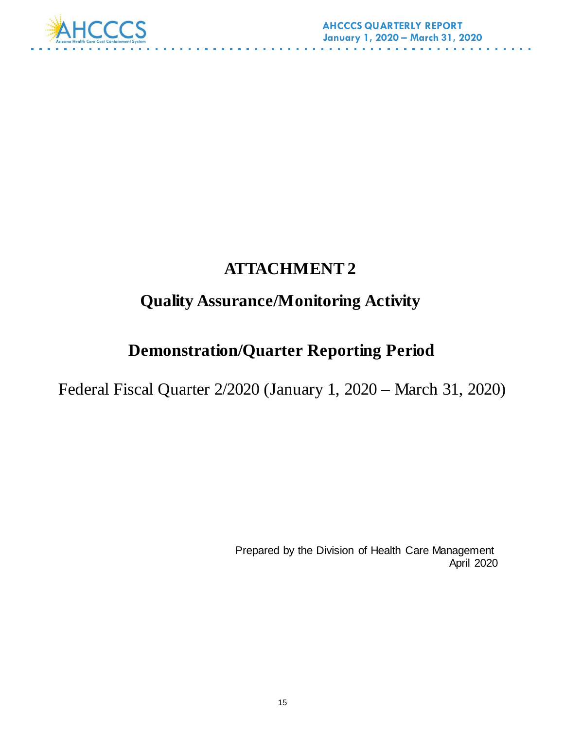

# **ATTACHMENT 2**

# **Quality Assurance/Monitoring Activity**

# **Demonstration/Quarter Reporting Period**

Federal Fiscal Quarter 2/2020 (January 1, 2020 – March 31, 2020)

 Prepared by the Division of Health Care Management April 2020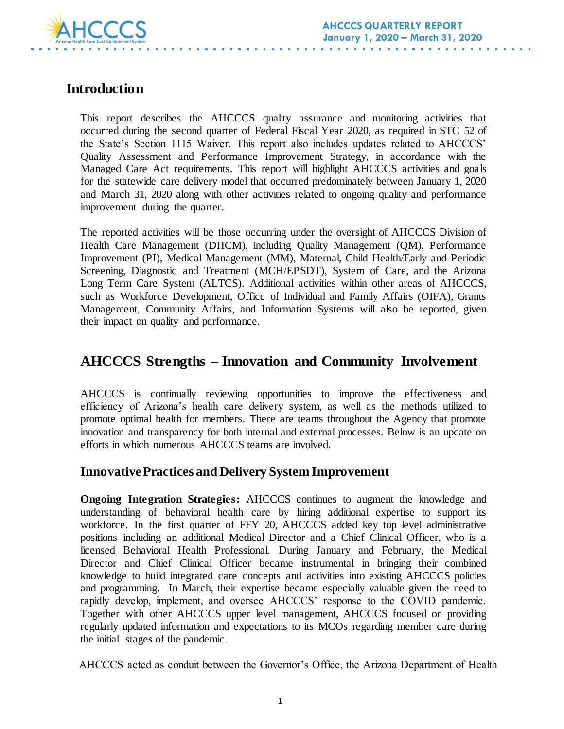

## **Introduction**

This report describes the AHCCCS quality assurance and monitoring activities that occurred during the second quarter of Federal Fiscal Year 2020, as required in STC 52 of the State's Section 1115 Waiver. This report also includes updates related to AHCCCS' Quality Assessment and Performance Improvement Strategy, in accordance with the Managed Care Act requirements. This report will highlight AHCCCS activities and goals for the statewide care delivery model that occurred predominately between January 1, 2020 and March 31, 2020 along with other activities related to ongoing quality and performance improvement during the quarter.

The reported activities will be those occurring under the oversight of AHCCCS Division of Health Care Management (DHCM), including Quality Management (QM), Performance Improvement (PI), Medical Management (MM), Maternal, Child Health/Early and Periodic Screening, Diagnostic and Treatment (MCH/EPSDT), System of Care, and the Arizona Long Term Care System (ALTCS). Additional activities within other areas of AHCCCS, such as Workforce Development, Office of Individual and Family Affairs (OIFA), Grants Management, Community Affairs, and Information Systems will also be reported, given their impact on quality and performance.

## **AHCCCS Strengths – Innovation and Community Involvement**

AHCCCS is continually reviewing opportunities to improve the effectiveness and efficiency of Arizona's health care delivery system, as well as the methods utilized to promote optimal health for members. There are teams throughout the Agency that promote innovation and transparency for both internal and external processes. Below is an update on efforts in which numerous AHCCCS teams are involved.

## **Innovative Practices and Delivery System Improvement**

**Ongoing Integration Strategies:** AHCCCS continues to augment the knowledge and understanding of behavioral health care by hiring additional expertise to support its workforce. In the first quarter of FFY 20, AHCCCS added key top level administrative positions including an additional Medical Director and a Chief Clinical Officer, who is a licensed Behavioral Health Professional. During January and February, the Medical Director and Chief Clinical Officer became instrumental in bringing their combined knowledge to build integrated care concepts and activities into existing AHCCCS policies and programming. In March, their expertise became especially valuable given the need to rapidly develop, implement, and oversee AHCCCS' response to the COVID pandemic. Together with other AHCCCS upper level management, AHCCCS focused on providing regularly updated information and expectations to its MCOs regarding member care during the initial stages of the pandemic.

AHCCCS acted as conduit between the Governor's Office, the Arizona Department of Health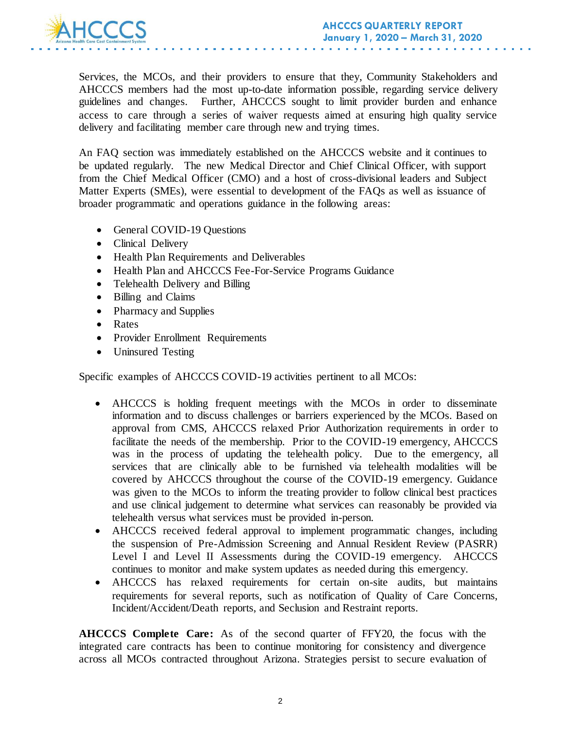

Services, the MCOs, and their providers to ensure that they, Community Stakeholders and AHCCCS members had the most up-to-date information possible, regarding service delivery guidelines and changes. Further, AHCCCS sought to limit provider burden and enhance access to care through a series of waiver requests aimed at ensuring high quality service delivery and facilitating member care through new and trying times.

An FAQ section was immediately established on the AHCCCS website and it continues to be updated regularly. The new Medical Director and Chief Clinical Officer, with support from the Chief Medical Officer (CMO) and a host of cross-divisional leaders and Subject Matter Experts (SMEs), were essential to development of the FAQs as well as issuance of broader programmatic and operations guidance in the following areas:

- General COVID-19 Ouestions
- Clinical Delivery
- Health Plan Requirements and Deliverables
- Health Plan and AHCCCS Fee-For-Service Programs Guidance
- Telehealth Delivery and Billing
- Billing and Claims
- Pharmacy and Supplies
- Rates
- Provider Enrollment Requirements
- Uninsured Testing

Specific examples of AHCCCS COVID-19 activities pertinent to all MCOs:

- AHCCCS is holding frequent meetings with the MCOs in order to disseminate information and to discuss challenges or barriers experienced by the MCOs. Based on approval from CMS, AHCCCS relaxed Prior Authorization requirements in order to facilitate the needs of the membership. Prior to the COVID-19 emergency, AHCCCS was in the process of updating the telehealth policy. Due to the emergency, all services that are clinically able to be furnished via telehealth modalities will be covered by AHCCCS throughout the course of the COVID-19 emergency. Guidance was given to the MCOs to inform the treating provider to follow clinical best practices and use clinical judgement to determine what services can reasonably be provided via telehealth versus what services must be provided in-person.
- AHCCCS received federal approval to implement programmatic changes, including the suspension of Pre-Admission Screening and Annual Resident Review (PASRR) Level I and Level II Assessments during the COVID-19 emergency. AHCCCS continues to monitor and make system updates as needed during this emergency.
- AHCCCS has relaxed requirements for certain on-site audits, but maintains requirements for several reports, such as notification of Quality of Care Concerns, Incident/Accident/Death reports, and Seclusion and Restraint reports.

**AHCCCS Complete Care:** As of the second quarter of FFY20, the focus with the integrated care contracts has been to continue monitoring for consistency and divergence across all MCOs contracted throughout Arizona. Strategies persist to secure evaluation of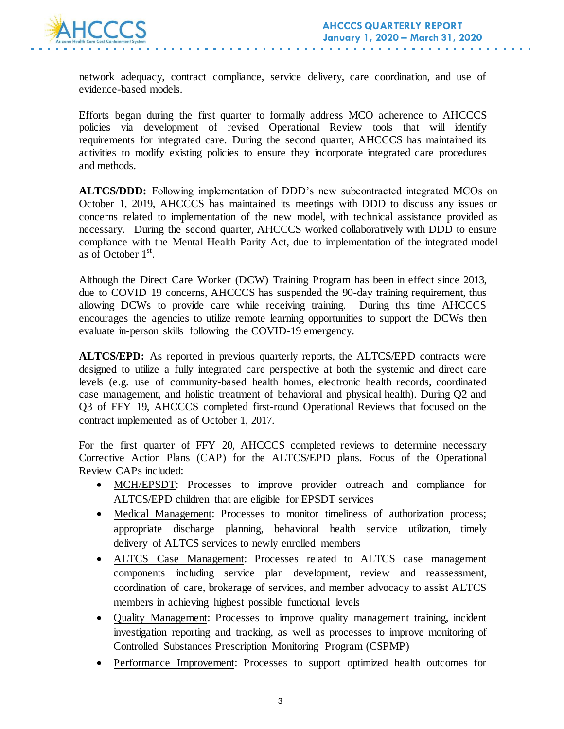

network adequacy, contract compliance, service delivery, care coordination, and use of evidence-based models.

Efforts began during the first quarter to formally address MCO adherence to AHCCCS policies via development of revised Operational Review tools that will identify requirements for integrated care. During the second quarter, AHCCCS has maintained its activities to modify existing policies to ensure they incorporate integrated care procedures and methods.

**ALTCS/DDD:** Following implementation of DDD's new subcontracted integrated MCOs on October 1, 2019, AHCCCS has maintained its meetings with DDD to discuss any issues or concerns related to implementation of the new model, with technical assistance provided as necessary. During the second quarter, AHCCCS worked collaboratively with DDD to ensure compliance with the Mental Health Parity Act, due to implementation of the integrated model as of October  $1<sup>st</sup>$ .

Although the Direct Care Worker (DCW) Training Program has been in effect since 2013, due to COVID 19 concerns, AHCCCS has suspended the 90-day training requirement, thus allowing DCWs to provide care while receiving training. During this time AHCCCS encourages the agencies to utilize remote learning opportunities to support the DCWs then evaluate in-person skills following the COVID-19 emergency.

**ALTCS/EPD:** As reported in previous quarterly reports, the ALTCS/EPD contracts were designed to utilize a fully integrated care perspective at both the systemic and direct care levels (e.g. use of community-based health homes, electronic health records, coordinated case management, and holistic treatment of behavioral and physical health). During Q2 and Q3 of FFY 19, AHCCCS completed first-round Operational Reviews that focused on the contract implemented as of October 1, 2017.

For the first quarter of FFY 20, AHCCCS completed reviews to determine necessary Corrective Action Plans (CAP) for the ALTCS/EPD plans. Focus of the Operational Review CAPs included:

- MCH/EPSDT: Processes to improve provider outreach and compliance for ALTCS/EPD children that are eligible for EPSDT services
- Medical Management: Processes to monitor timeliness of authorization process; appropriate discharge planning, behavioral health service utilization, timely delivery of ALTCS services to newly enrolled members
- ALTCS Case Management: Processes related to ALTCS case management components including service plan development, review and reassessment, coordination of care, brokerage of services, and member advocacy to assist ALTCS members in achieving highest possible functional levels
- Quality Management: Processes to improve quality management training, incident investigation reporting and tracking, as well as processes to improve monitoring of Controlled Substances Prescription Monitoring Program (CSPMP)
- Performance Improvement: Processes to support optimized health outcomes for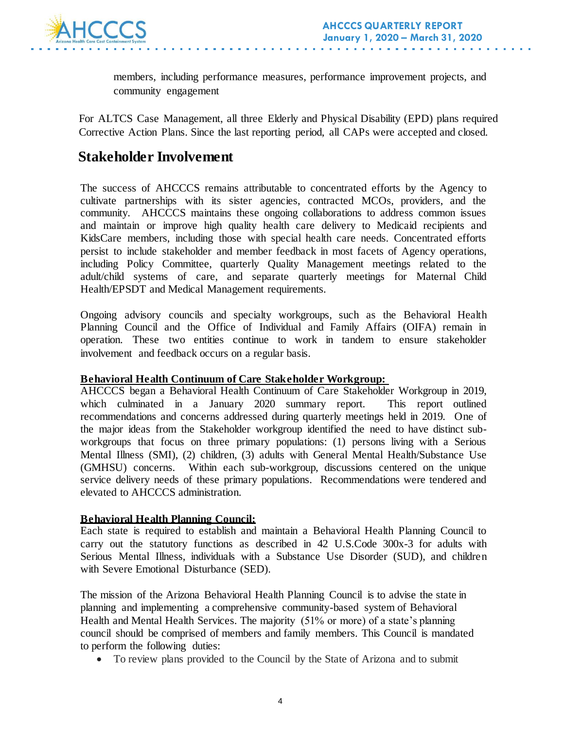

members, including performance measures, performance improvement projects, and community engagement

For ALTCS Case Management, all three Elderly and Physical Disability (EPD) plans required Corrective Action Plans. Since the last reporting period, all CAPs were accepted and closed.

## **Stakeholder Involvement**

The success of AHCCCS remains attributable to concentrated efforts by the Agency to cultivate partnerships with its sister agencies, contracted MCOs, providers, and the community. AHCCCS maintains these ongoing collaborations to address common issues and maintain or improve high quality health care delivery to Medicaid recipients and KidsCare members, including those with special health care needs. Concentrated efforts persist to include stakeholder and member feedback in most facets of Agency operations, including Policy Committee, quarterly Quality Management meetings related to the adult/child systems of care, and separate quarterly meetings for Maternal Child Health/EPSDT and Medical Management requirements.

Ongoing advisory councils and specialty workgroups, such as the Behavioral Health Planning Council and the Office of Individual and Family Affairs (OIFA) remain in operation. These two entities continue to work in tandem to ensure stakeholder involvement and feedback occurs on a regular basis.

#### **Behavioral Health Continuum of Care Stakeholder Workgroup:**

AHCCCS began a Behavioral Health Continuum of Care Stakeholder Workgroup in 2019, which culminated in a January 2020 summary report. This report outlined recommendations and concerns addressed during quarterly meetings held in 2019. One of the major ideas from the Stakeholder workgroup identified the need to have distinct subworkgroups that focus on three primary populations: (1) persons living with a Serious Mental Illness (SMI), (2) children, (3) adults with General Mental Health/Substance Use (GMHSU) concerns. Within each sub-workgroup, discussions centered on the unique service delivery needs of these primary populations. Recommendations were tendered and elevated to AHCCCS administration.

#### **Behavioral Health Planning Council:**

Each state is required to establish and maintain a Behavioral Health Planning Council to carry out the statutory functions as described in 42 U.S.Code 300x-3 for adults with Serious Mental Illness, individuals with a Substance Use Disorder (SUD), and children with Severe Emotional Disturbance (SED).

The mission of the Arizona Behavioral Health Planning Council is to advise the state in planning and implementing a comprehensive community-based system of Behavioral Health and Mental Health Services. The majority (51% or more) of a state's planning council should be comprised of members and family members. This Council is mandated to perform the following duties:

To review plans provided to the Council by the State of Arizona and to submit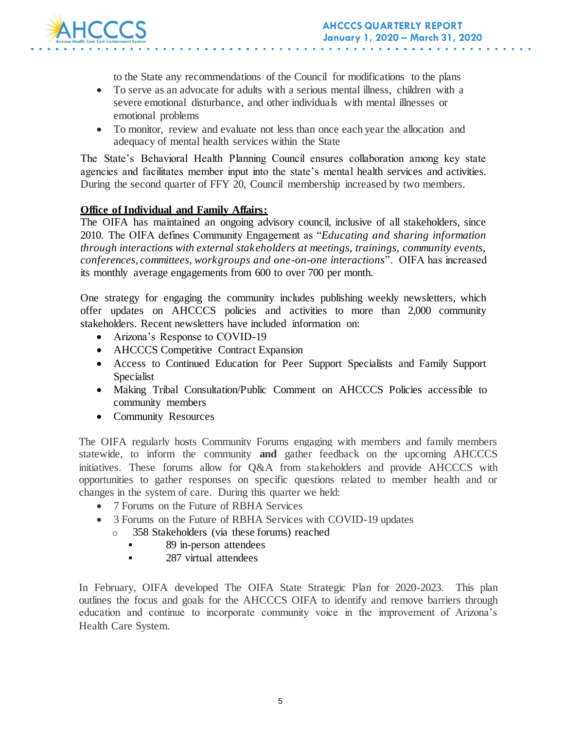

to the State any recommendations of the Council for modifications to the plans

- To serve as an advocate for adults with a serious mental illness, children with a severe emotional disturbance, and other individuals with mental illnesses or emotional problems
- To monitor, review and evaluate not less than once each year the allocation and adequacy of mental health services within the State

The State's Behavioral Health Planning Council ensures collaboration among key state agencies and facilitates member input into the state's mental health services and activities. During the second quarter of FFY 20, Council membership increased by two members.

#### **Office of Individual and Family Affairs:**

The OIFA has maintained an ongoing advisory council, inclusive of all stakeholders, since 2010. The OIFA defines Community Engagement as "*Educating and sharing information through interactions with external stakeholders at meetings, trainings, community events, conferences, committees, workgroups and one-on-one interactions*". OIFA has increased its monthly average engagements from 600 to over 700 per month.

One strategy for engaging the community includes publishing weekly newsletters, which offer updates on AHCCCS policies and activities to more than 2,000 community stakeholders. Recent newsletters have included information on:

- Arizona's Response to COVID-19
- AHCCCS Competitive Contract Expansion
- Access to Continued Education for Peer Support Specialists and Family Support Specialist
- Making Tribal Consultation/Public Comment on AHCCCS Policies accessible to community members
- Community Resources

The OIFA regularly hosts Community Forums engaging with members and family members statewide, to inform the community **and** gather feedback on the upcoming AHCCCS initiatives. These forums allow for Q&A from stakeholders and provide AHCCCS with opportunities to gather responses on specific questions related to member health and or changes in the system of care. During this quarter we held:

- 7 Forums on the Future of RBHA Services
- 3 Forums on the Future of RBHA Services with COVID-19 updates
	- o 358 Stakeholders (via these forums) reached
		- 89 in-person attendees
		- **287** virtual attendees

In February, OIFA developed The OIFA State Strategic Plan for 2020-2023. This plan outlines the focus and goals for the AHCCCS OIFA to identify and remove barriers through education and continue to incorporate community voice in the improvement of Arizona's Health Care System.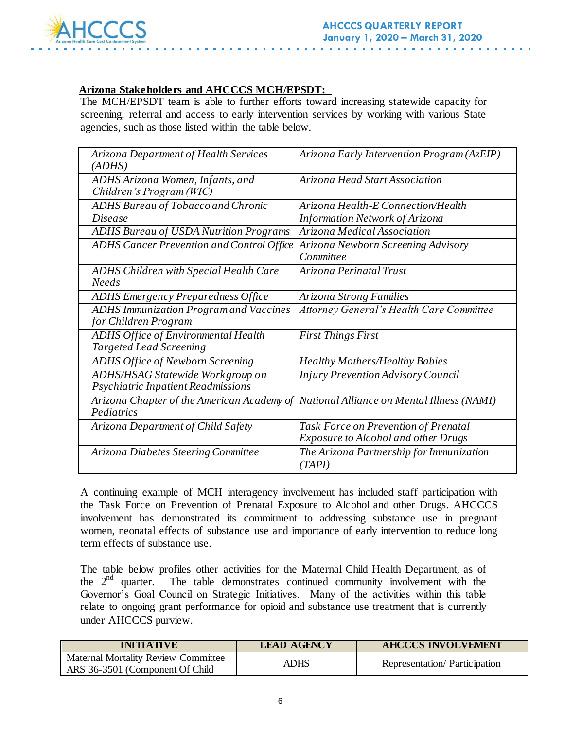

#### **Arizona Stakeholders and AHCCCS MCH/EPSDT:**

The MCH/EPSDT team is able to further efforts toward increasing statewide capacity for screening, referral and access to early intervention services by working with various State agencies, such as those listed within the table below.

| Arizona Department of Health Services<br>(ADHS)                         | Arizona Early Intervention Program (AzEIP)                                         |
|-------------------------------------------------------------------------|------------------------------------------------------------------------------------|
| ADHS Arizona Women, Infants, and<br>Children's Program (WIC)            | Arizona Head Start Association                                                     |
| <b>ADHS Bureau of Tobacco and Chronic</b><br><b>Disease</b>             | Arizona Health-E Connection/Health<br><b>Information Network of Arizona</b>        |
| <b>ADHS Bureau of USDA Nutrition Programs</b>                           | Arizona Medical Association                                                        |
| <b>ADHS Cancer Prevention and Control Office</b>                        | Arizona Newborn Screening Advisory<br>Committee                                    |
| ADHS Children with Special Health Care<br><b>Needs</b>                  | Arizona Perinatal Trust                                                            |
| <b>ADHS Emergency Preparedness Office</b>                               | Arizona Strong Families                                                            |
| <b>ADHS Immunization Program and Vaccines</b><br>for Children Program   | <b>Attorney General's Health Care Committee</b>                                    |
| ADHS Office of Environmental Health -<br><b>Targeted Lead Screening</b> | <b>First Things First</b>                                                          |
| <b>ADHS Office of Newborn Screening</b>                                 | <b>Healthy Mothers/Healthy Babies</b>                                              |
| ADHS/HSAG Statewide Workgroup on<br>Psychiatric Inpatient Readmissions  | <b>Injury Prevention Advisory Council</b>                                          |
| Arizona Chapter of the American Academy of<br>Pediatrics                | National Alliance on Mental Illness (NAMI)                                         |
| Arizona Department of Child Safety                                      | Task Force on Prevention of Prenatal<br><b>Exposure to Alcohol and other Drugs</b> |
| Arizona Diabetes Steering Committee                                     | The Arizona Partnership for Immunization<br>(TAPI)                                 |

A continuing example of MCH interagency involvement has included staff participation with the Task Force on Prevention of Prenatal Exposure to Alcohol and other Drugs. AHCCCS involvement has demonstrated its commitment to addressing substance use in pregnant women, neonatal effects of substance use and importance of early intervention to reduce long term effects of substance use.

The table below profiles other activities for the Maternal Child Health Department, as of the  $2<sup>nd</sup>$  quarter. The table demonstrates continued community involvement with the Governor's Goal Council on Strategic Initiatives. Many of the activities within this table relate to ongoing grant performance for opioid and substance use treatment that is currently under AHCCCS purview.

| <b>INITIATIVE</b>                                                             | <b>LEAD AGENCY</b> | <b>AHCCCS INVOLVEMENT</b>    |
|-------------------------------------------------------------------------------|--------------------|------------------------------|
| <b>Maternal Mortality Review Committee</b><br>ARS 36-3501 (Component Of Child | ADHS               | Representation/Participation |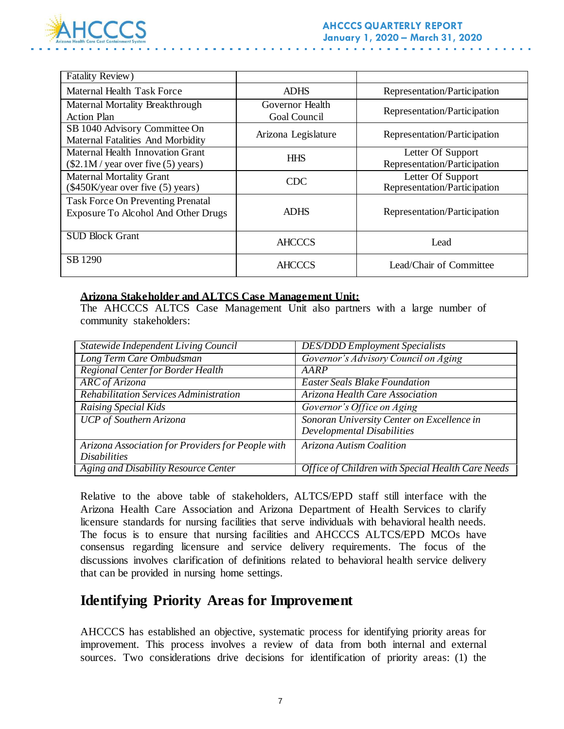

| Fatality Review)                                                                |                                 |                                                   |
|---------------------------------------------------------------------------------|---------------------------------|---------------------------------------------------|
| Maternal Health Task Force                                                      | <b>ADHS</b>                     | Representation/Participation                      |
| Maternal Mortality Breakthrough<br><b>Action Plan</b>                           | Governor Health<br>Goal Council | Representation/Participation                      |
| SB 1040 Advisory Committee On<br>Maternal Fatalities And Morbidity              | Arizona Legislature             | Representation/Participation                      |
| Maternal Health Innovation Grant<br>$($2.1M$ / year over five $(5)$ years)      | <b>HHS</b>                      | Letter Of Support<br>Representation/Participation |
| <b>Maternal Mortality Grant</b><br>(\$450K/year over five (5) years)            | CDC                             | Letter Of Support<br>Representation/Participation |
| <b>Task Force On Preventing Prenatal</b><br>Exposure To Alcohol And Other Drugs | <b>ADHS</b>                     | Representation/Participation                      |
| <b>SUD Block Grant</b>                                                          | <b>AHCCCS</b>                   | Lead                                              |
| SB 1290                                                                         | <b>AHCCCS</b>                   | Lead/Chair of Committee                           |

#### **Arizona Stakeholder and ALTCS Case Management Unit:**

The AHCCCS ALTCS Case Management Unit also partners with a large number of community stakeholders:

| Statewide Independent Living Council              | <b>DES/DDD</b> Employment Specialists             |
|---------------------------------------------------|---------------------------------------------------|
| Long Term Care Ombudsman                          | Governor's Advisory Council on Aging              |
| Regional Center for Border Health                 | AARP                                              |
| ARC of Arizona                                    | <b>Easter Seals Blake Foundation</b>              |
| Rehabilitation Services Administration            | Arizona Health Care Association                   |
| <b>Raising Special Kids</b>                       | Governor's Office on Aging                        |
| UCP of Southern Arizona                           | Sonoran University Center on Excellence in        |
|                                                   | Developmental Disabilities                        |
| Arizona Association for Providers for People with | Arizona Autism Coalition                          |
| <i>Disabilities</i>                               |                                                   |
| Aging and Disability Resource Center              | Office of Children with Special Health Care Needs |

Relative to the above table of stakeholders, ALTCS/EPD staff still interface with the Arizona Health Care Association and Arizona Department of Health Services to clarify licensure standards for nursing facilities that serve individuals with behavioral health needs. The focus is to ensure that nursing facilities and AHCCCS ALTCS/EPD MCOs have consensus regarding licensure and service delivery requirements. The focus of the discussions involves clarification of definitions related to behavioral health service delivery that can be provided in nursing home settings.

## **Identifying Priority Areas for Improvement**

AHCCCS has established an objective, systematic process for identifying priority areas for improvement. This process involves a review of data from both internal and external sources. Two considerations drive decisions for identification of priority areas: (1) the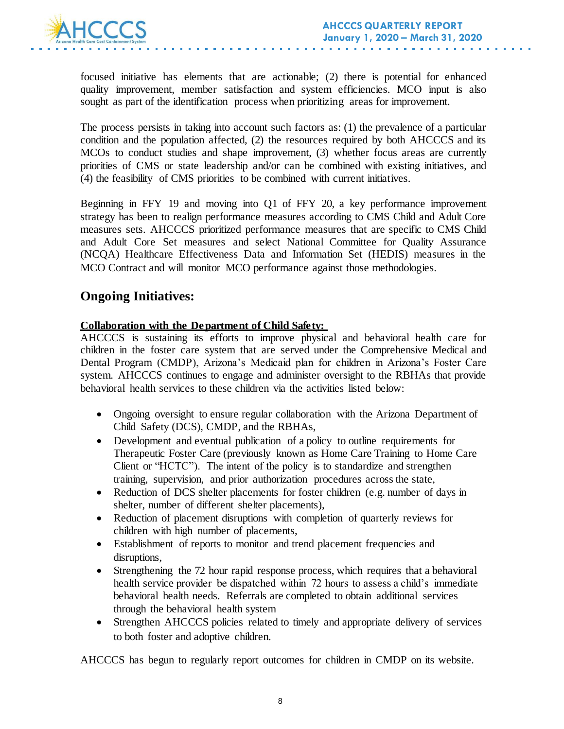

focused initiative has elements that are actionable; (2) there is potential for enhanced quality improvement, member satisfaction and system efficiencies. MCO input is also sought as part of the identification process when prioritizing areas for improvement.

The process persists in taking into account such factors as: (1) the prevalence of a particular condition and the population affected, (2) the resources required by both AHCCCS and its MCOs to conduct studies and shape improvement, (3) whether focus areas are currently priorities of CMS or state leadership and/or can be combined with existing initiatives, and (4) the feasibility of CMS priorities to be combined with current initiatives.

Beginning in FFY 19 and moving into Q1 of FFY 20, a key performance improvement strategy has been to realign performance measures according to CMS Child and Adult Core measures sets. AHCCCS prioritized performance measures that are specific to CMS Child and Adult Core Set measures and select National Committee for Quality Assurance (NCQA) Healthcare Effectiveness Data and Information Set (HEDIS) measures in the MCO Contract and will monitor MCO performance against those methodologies.

## **Ongoing Initiatives:**

#### **Collaboration with the Department of Child Safety:**

AHCCCS is sustaining its efforts to improve physical and behavioral health care for children in the foster care system that are served under the Comprehensive Medical and Dental Program (CMDP), Arizona's Medicaid plan for children in Arizona's Foster Care system. AHCCCS continues to engage and administer oversight to the RBHAs that provide behavioral health services to these children via the activities listed below:

- Ongoing oversight to ensure regular collaboration with the Arizona Department of Child Safety (DCS), CMDP, and the RBHAs,
- Development and eventual publication of a policy to outline requirements for Therapeutic Foster Care (previously known as Home Care Training to Home Care Client or "HCTC"). The intent of the policy is to standardize and strengthen training, supervision, and prior authorization procedures across the state,
- Reduction of DCS shelter placements for foster children (e.g. number of days in shelter, number of different shelter placements),
- Reduction of placement disruptions with completion of quarterly reviews for children with high number of placements,
- Establishment of reports to monitor and trend placement frequencies and disruptions,
- Strengthening the 72 hour rapid response process, which requires that a behavioral health service provider be dispatched within 72 hours to assess a child's immediate behavioral health needs. Referrals are completed to obtain additional services through the behavioral health system
- Strengthen AHCCCS policies related to timely and appropriate delivery of services to both foster and adoptive children.

AHCCCS has begun to regularly report outcomes for children in CMDP on its website.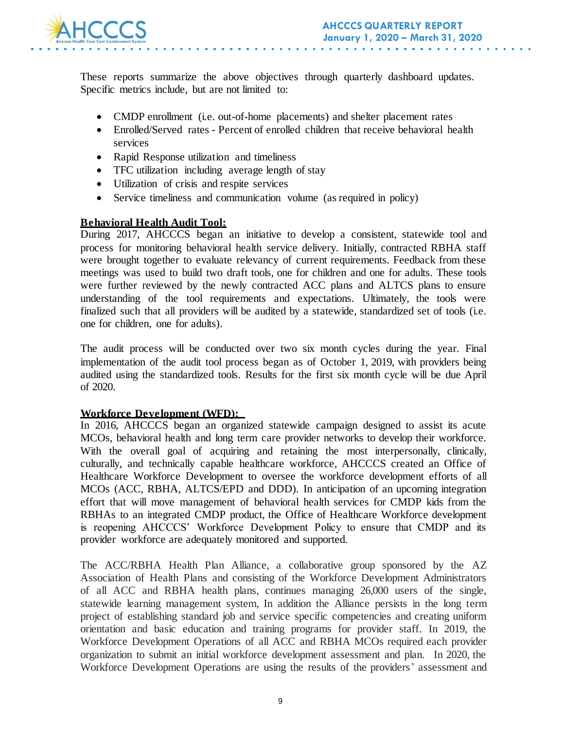

These reports summarize the above objectives through quarterly dashboard updates. Specific metrics include, but are not limited to:

- CMDP enrollment (i.e. out-of-home placements) and shelter placement rates
- Enrolled/Served rates Percent of enrolled children that receive behavioral health services
- Rapid Response utilization and timeliness
- TFC utilization including average length of stay
- Utilization of crisis and respite services
- Service timeliness and communication volume (as required in policy)

#### **Behavioral Health Audit Tool:**

During 2017, AHCCCS began an initiative to develop a consistent, statewide tool and process for monitoring behavioral health service delivery. Initially, contracted RBHA staff were brought together to evaluate relevancy of current requirements. Feedback from these meetings was used to build two draft tools, one for children and one for adults. These tools were further reviewed by the newly contracted ACC plans and ALTCS plans to ensure understanding of the tool requirements and expectations. Ultimately, the tools were finalized such that all providers will be audited by a statewide, standardized set of tools (i.e. one for children, one for adults).

The audit process will be conducted over two six month cycles during the year. Final implementation of the audit tool process began as of October 1, 2019, with providers being audited using the standardized tools. Results for the first six month cycle will be due April of 2020.

#### **Workforce Development (WFD):**

In 2016, AHCCCS began an organized statewide campaign designed to assist its acute MCOs, behavioral health and long term care provider networks to develop their workforce. With the overall goal of acquiring and retaining the most interpersonally, clinically, culturally, and technically capable healthcare workforce, AHCCCS created an Office of Healthcare Workforce Development to oversee the workforce development efforts of all MCOs (ACC, RBHA, ALTCS/EPD and DDD). In anticipation of an upcoming integration effort that will move management of behavioral health services for CMDP kids from the RBHAs to an integrated CMDP product, the Office of Healthcare Workforce development is reopening AHCCCS' Workforce Development Policy to ensure that CMDP and its provider workforce are adequately monitored and supported.

The ACC/RBHA Health Plan Alliance, a collaborative group sponsored by the AZ Association of Health Plans and consisting of the Workforce Development Administrators of all ACC and RBHA health plans, continues managing 26,000 users of the single, statewide learning management system, In addition the Alliance persists in the long term project of establishing standard job and service specific competencies and creating uniform orientation and basic education and training programs for provider staff. In 2019, the Workforce Development Operations of all ACC and RBHA MCOs required each provider organization to submit an initial workforce development assessment and plan. In 2020, the Workforce Development Operations are using the results of the providers' assessment and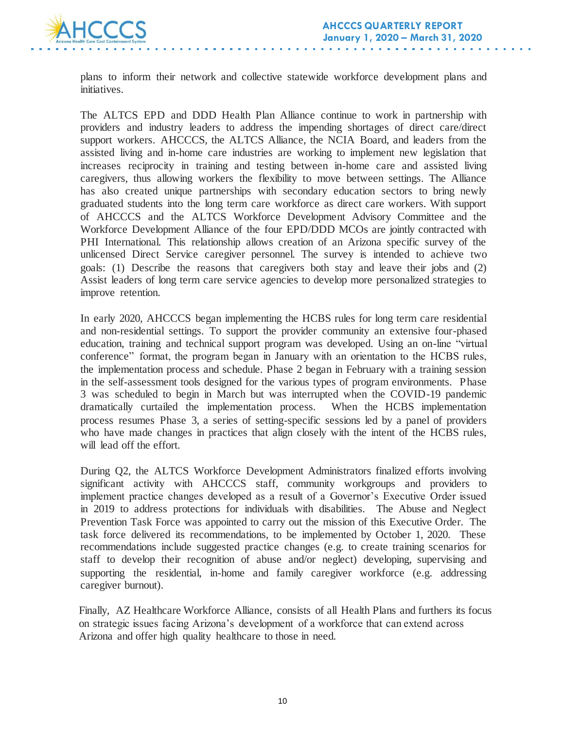

plans to inform their network and collective statewide workforce development plans and initiatives.

The ALTCS EPD and DDD Health Plan Alliance continue to work in partnership with providers and industry leaders to address the impending shortages of direct care/direct support workers. AHCCCS, the ALTCS Alliance, the NCIA Board, and leaders from the assisted living and in-home care industries are working to implement new legislation that increases reciprocity in training and testing between in-home care and assisted living caregivers, thus allowing workers the flexibility to move between settings. The Alliance has also created unique partnerships with secondary education sectors to bring newly graduated students into the long term care workforce as direct care workers. With support of AHCCCS and the ALTCS Workforce Development Advisory Committee and the Workforce Development Alliance of the four EPD/DDD MCOs are jointly contracted with PHI International. This relationship allows creation of an Arizona specific survey of the unlicensed Direct Service caregiver personnel. The survey is intended to achieve two goals: (1) Describe the reasons that caregivers both stay and leave their jobs and (2) Assist leaders of long term care service agencies to develop more personalized strategies to improve retention.

In early 2020, AHCCCS began implementing the HCBS rules for long term care residential and non-residential settings. To support the provider community an extensive four-phased education, training and technical support program was developed. Using an on-line "virtual conference" format, the program began in January with an orientation to the HCBS rules, the implementation process and schedule. Phase 2 began in February with a training session in the self-assessment tools designed for the various types of program environments. Phase 3 was scheduled to begin in March but was interrupted when the COVID-19 pandemic dramatically curtailed the implementation process. When the HCBS implementation process resumes Phase 3, a series of setting-specific sessions led by a panel of providers who have made changes in practices that align closely with the intent of the HCBS rules, will lead off the effort.

During Q2, the ALTCS Workforce Development Administrators finalized efforts involving significant activity with AHCCCS staff, community workgroups and providers to implement practice changes developed as a result of a Governor's Executive Order issued in 2019 to address protections for individuals with disabilities. The Abuse and Neglect Prevention Task Force was appointed to carry out the mission of this Executive Order. The task force delivered its recommendations, to be implemented by October 1, 2020. These recommendations include suggested practice changes (e.g. to create training scenarios for staff to develop their recognition of abuse and/or neglect) developing, supervising and supporting the residential, in-home and family caregiver workforce (e.g. addressing caregiver burnout).

Finally, AZ Healthcare Workforce Alliance, consists of all Health Plans and furthers its focus on strategic issues facing Arizona's development of a workforce that can extend across Arizona and offer high quality healthcare to those in need.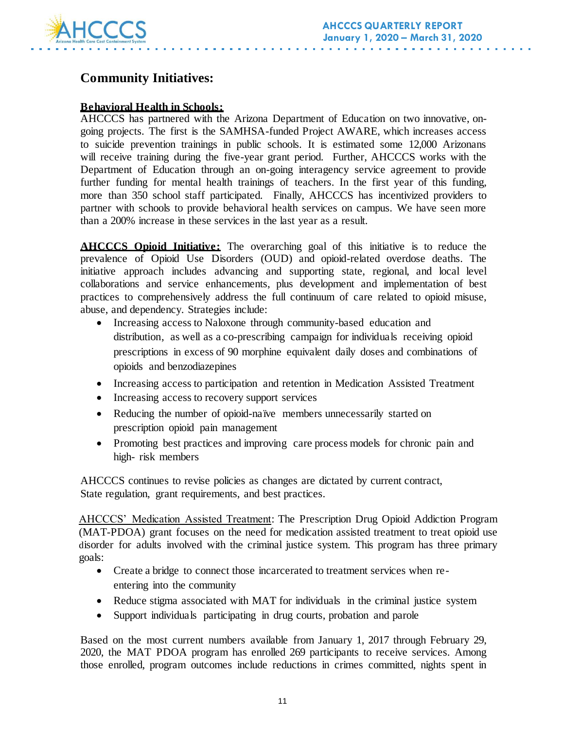

## **Community Initiatives:**

### **Behavioral Health in Schools:**

AHCCCS has partnered with the Arizona Department of Education on two innovative, ongoing projects. The first is the SAMHSA-funded Project AWARE, which increases access to suicide prevention trainings in public schools. It is estimated some 12,000 Arizonans will receive training during the five-year grant period. Further, AHCCCS works with the Department of Education through an on-going interagency service agreement to provide further funding for mental health trainings of teachers. In the first year of this funding, more than 350 school staff participated. Finally, AHCCCS has incentivized providers to partner with schools to provide behavioral health services on campus. We have seen more than a 200% increase in these services in the last year as a result.

**AHCCCS Opioid Initiative:** The overarching goal of this initiative is to reduce the prevalence of Opioid Use Disorders (OUD) and opioid-related overdose deaths. The initiative approach includes advancing and supporting state, regional, and local level collaborations and service enhancements, plus development and implementation of best practices to comprehensively address the full continuum of care related to opioid misuse, abuse, and dependency. Strategies include:

- Increasing access to Naloxone through community-based education and distribution, as well as a co-prescribing campaign for individuals receiving opioid prescriptions in excess of 90 morphine equivalent daily doses and combinations of opioids and benzodiazepines
- Increasing access to participation and retention in Medication Assisted Treatment
- Increasing access to recovery support services
- Reducing the number of opioid-naïve members unnecessarily started on prescription opioid pain management
- Promoting best practices and improving care process models for chronic pain and high- risk members

AHCCCS continues to revise policies as changes are dictated by current contract, State regulation, grant requirements, and best practices.

AHCCCS' Medication Assisted Treatment: The Prescription Drug Opioid Addiction Program (MAT-PDOA) grant focuses on the need for medication assisted treatment to treat opioid use disorder for adults involved with the criminal justice system. This program has three primary goals:

- Create a bridge to connect those incarcerated to treatment services when reentering into the community
- Reduce stigma associated with MAT for individuals in the criminal justice system
- Support individuals participating in drug courts, probation and parole

Based on the most current numbers available from January 1, 2017 through February 29, 2020, the MAT PDOA program has enrolled 269 participants to receive services. Among those enrolled, program outcomes include reductions in crimes committed, nights spent in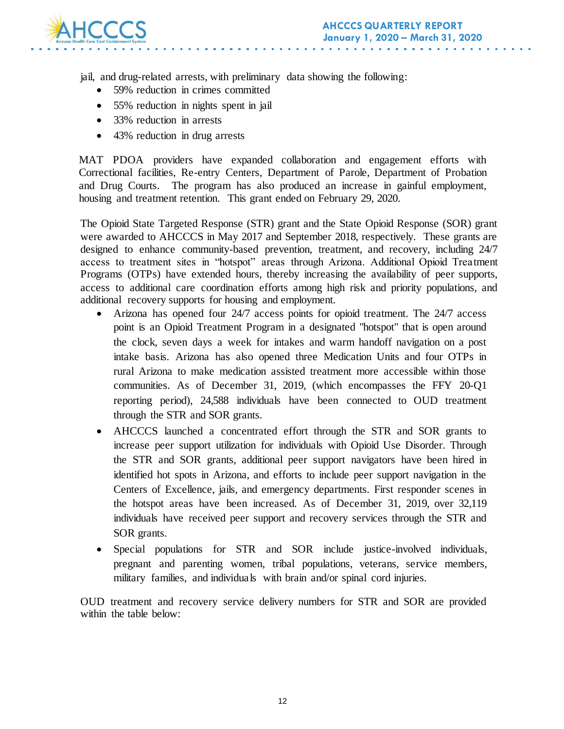

jail, and drug-related arrests, with preliminary data showing the following:

- 59% reduction in crimes committed
- 55% reduction in nights spent in jail
- 33% reduction in arrests
- 43% reduction in drug arrests

MAT PDOA providers have expanded collaboration and engagement efforts with Correctional facilities, Re-entry Centers, Department of Parole, Department of Probation and Drug Courts. The program has also produced an increase in gainful employment, housing and treatment retention. This grant ended on February 29, 2020.

The Opioid State Targeted Response (STR) grant and the State Opioid Response (SOR) grant were awarded to AHCCCS in May 2017 and September 2018, respectively. These grants are designed to enhance community-based prevention, treatment, and recovery, including 24/7 access to treatment sites in "hotspot" areas through Arizona. Additional Opioid Treatment Programs (OTPs) have extended hours, thereby increasing the availability of peer supports, access to additional care coordination efforts among high risk and priority populations, and additional recovery supports for housing and employment.

- Arizona has opened four 24/7 access points for opioid treatment. The 24/7 access point is an Opioid Treatment Program in a designated "hotspot" that is open around the clock, seven days a week for intakes and warm handoff navigation on a post intake basis. Arizona has also opened three Medication Units and four OTPs in rural Arizona to make medication assisted treatment more accessible within those communities. As of December 31, 2019, (which encompasses the FFY 20-Q1 reporting period), 24,588 individuals have been connected to OUD treatment through the STR and SOR grants.
- AHCCCS launched a concentrated effort through the STR and SOR grants to increase peer support utilization for individuals with Opioid Use Disorder. Through the STR and SOR grants, additional peer support navigators have been hired in identified hot spots in Arizona, and efforts to include peer support navigation in the Centers of Excellence, jails, and emergency departments. First responder scenes in the hotspot areas have been increased. As of December 31, 2019, over 32,119 individuals have received peer support and recovery services through the STR and SOR grants.
- Special populations for STR and SOR include justice-involved individuals, pregnant and parenting women, tribal populations, veterans, service members, military families, and individuals with brain and/or spinal cord injuries.

OUD treatment and recovery service delivery numbers for STR and SOR are provided within the table below: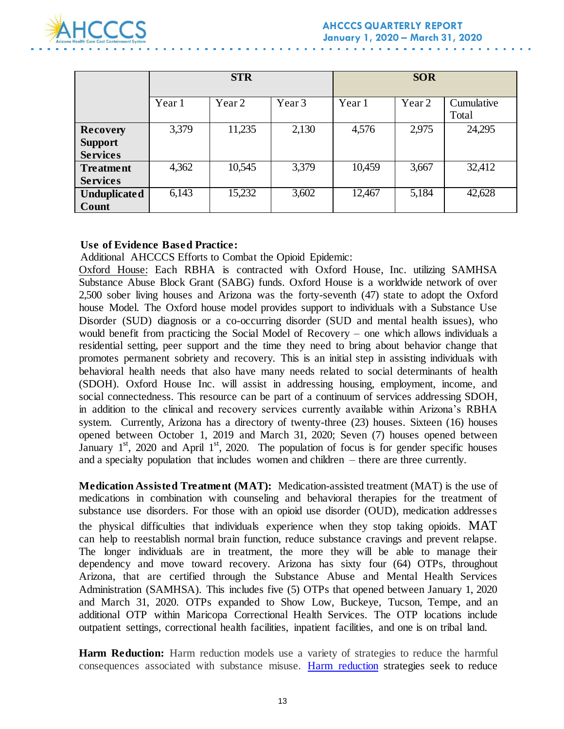

|                                                      | <b>STR</b> |                   |                   | <b>SOR</b> |                   |                     |
|------------------------------------------------------|------------|-------------------|-------------------|------------|-------------------|---------------------|
|                                                      | Year 1     | Year <sub>2</sub> | Year <sub>3</sub> | Year 1     | Year <sub>2</sub> | Cumulative<br>Total |
| <b>Recovery</b><br><b>Support</b><br><b>Services</b> | 3,379      | 11,235            | 2,130             | 4,576      | 2,975             | 24,295              |
| <b>Treatment</b><br><b>Services</b>                  | 4,362      | 10,545            | 3,379             | 10,459     | 3,667             | 32,412              |
| <b>Unduplicated</b><br>Count                         | 6,143      | 15,232            | 3,602             | 12,467     | 5,184             | 42,628              |

#### **Use of Evidence Based Practice:**

Additional AHCCCS Efforts to Combat the Opioid Epidemic:

Oxford House: Each RBHA is contracted with Oxford House, Inc. utilizing SAMHSA Substance Abuse Block Grant (SABG) funds. Oxford House is a worldwide network of over 2,500 sober living houses and Arizona was the forty-seventh (47) state to adopt the Oxford house Model. The Oxford house model provides support to individuals with a Substance Use Disorder (SUD) diagnosis or a co-occurring disorder (SUD and mental health issues), who would benefit from practicing the Social Model of Recovery – one which allows individuals a residential setting, peer support and the time they need to bring about behavior change that promotes permanent sobriety and recovery. This is an initial step in assisting individuals with behavioral health needs that also have many needs related to social determinants of health (SDOH). Oxford House Inc. will assist in addressing housing, employment, income, and social connectedness. This resource can be part of a continuum of services addressing SDOH, in addition to the clinical and recovery services currently available within Arizona's RBHA system. Currently, Arizona has a directory of twenty-three (23) houses. Sixteen (16) houses opened between October 1, 2019 and March 31, 2020; Seven (7) houses opened between January  $1<sup>st</sup>$ , 2020 and April  $1<sup>st</sup>$ , 2020. The population of focus is for gender specific houses and a specialty population that includes women and children – there are three currently.

**Medication Assisted Treatment (MAT):** Medication-assisted treatment (MAT) is the use of medications in combination with counseling and behavioral therapies for the treatment of substance use disorders. For those with an opioid use disorder (OUD), medication addresses the physical difficulties that individuals experience when they stop taking opioids. MAT can help to reestablish normal brain function, reduce substance cravings and prevent relapse. The longer individuals are in treatment, the more they will be able to manage their dependency and move toward recovery. Arizona has sixty four (64) OTPs, throughout Arizona, that are certified through the Substance Abuse and Mental Health Services Administration (SAMHSA). This includes five (5) OTPs that opened between January 1, 2020 and March 31, 2020. OTPs expanded to Show Low, Buckeye, Tucson, Tempe, and an additional OTP within Maricopa Correctional Health Services. The OTP locations include outpatient settings, correctional health facilities, inpatient facilities, and one is on tribal land.

**Harm Reduction:** Harm reduction models use a variety of strategies to reduce the harmful consequences associated with substance misuse. [Harm reduction](https://www.ncbi.nlm.nih.gov/pmc/articles/PMC2528824/) strategies seek to reduce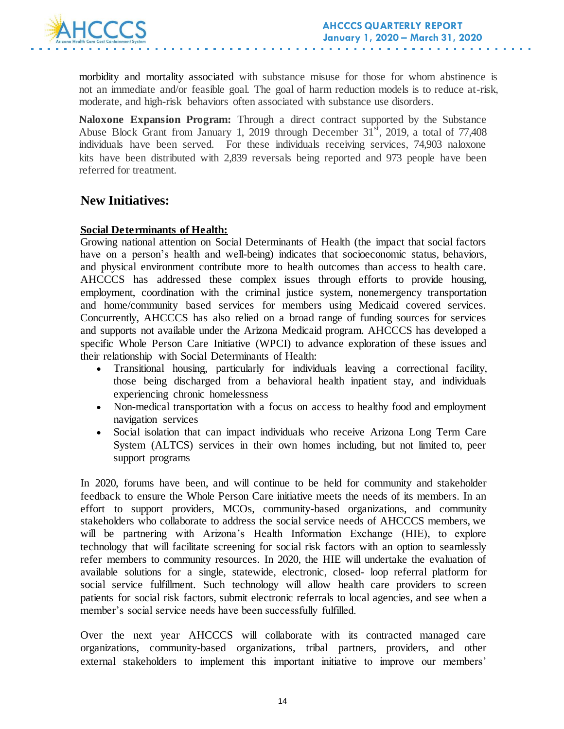

morbidity and mortality associated with substance misuse for those for whom abstinence is not an immediate and/or feasible goal. The goal of harm reduction models is to reduce at-risk, moderate, and high-risk behaviors often associated with substance use disorders.

**Naloxone Expansion Program:** Through a direct contract supported by the Substance Abuse Block Grant from January 1, 2019 through December  $31<sup>st</sup>$ , 2019, a total of 77,408 individuals have been served. For these individuals receiving services, 74,903 naloxone kits have been distributed with 2,839 reversals being reported and 973 people have been referred for treatment.

### **New Initiatives:**

#### **Social Determinants of Health:**

Growing national attention on Social Determinants of Health (the impact that social factors have on a person's health and well-being) indicates that socioeconomic status, behaviors, and physical environment contribute more to health outcomes than access to health care. AHCCCS has addressed these complex issues through efforts to provide housing, employment, coordination with the criminal justice system, nonemergency transportation and home/community based services for members using Medicaid covered services. Concurrently, AHCCCS has also relied on a broad range of funding sources for services and supports not available under the Arizona Medicaid program. AHCCCS has developed a specific Whole Person Care Initiative (WPCI) to advance exploration of these issues and their relationship with Social Determinants of Health:

- Transitional housing, particularly for individuals leaving a correctional facility, those being discharged from a behavioral health inpatient stay, and individuals experiencing chronic homelessness
- Non-medical transportation with a focus on access to healthy food and employment navigation services
- Social isolation that can impact individuals who receive Arizona Long Term Care System (ALTCS) services in their own homes including, but not limited to, peer support programs

In 2020, forums have been, and will continue to be held for community and stakeholder feedback to ensure the Whole Person Care initiative meets the needs of its members. In an effort to support providers, MCOs, community-based organizations, and community stakeholders who collaborate to address the social service needs of AHCCCS members, we will be partnering with Arizona's Health Information Exchange (HIE), to explore technology that will facilitate screening for social risk factors with an option to seamlessly refer members to community resources. In 2020, the HIE will undertake the evaluation of available solutions for a single, statewide, electronic, closed- loop referral platform for social service fulfillment. Such technology will allow health care providers to screen patients for social risk factors, submit electronic referrals to local agencies, and see when a member's social service needs have been successfully fulfilled.

Over the next year AHCCCS will collaborate with its contracted managed care organizations, community-based organizations, tribal partners, providers, and other external stakeholders to implement this important initiative to improve our members'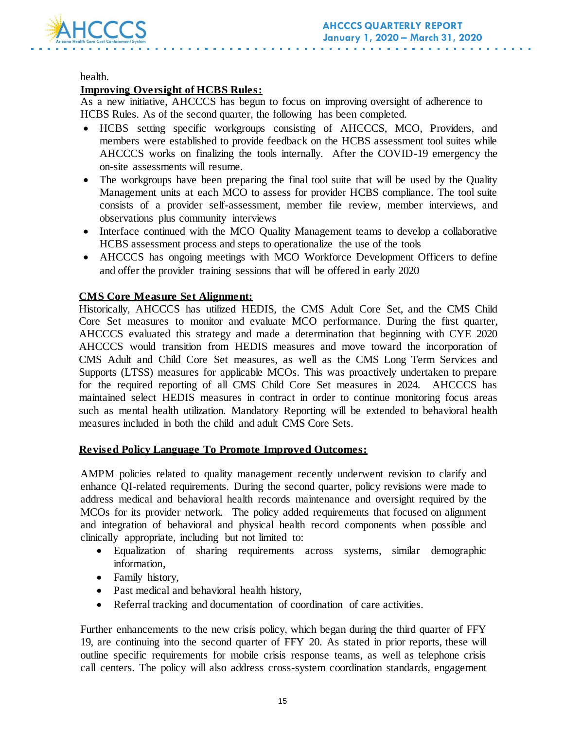

health.

#### **Improving Oversight of HCBS Rules:**

As a new initiative, AHCCCS has begun to focus on improving oversight of adherence to HCBS Rules. As of the second quarter, the following has been completed.

- HCBS setting specific workgroups consisting of AHCCCS, MCO, Providers, and members were established to provide feedback on the HCBS assessment tool suites while AHCCCS works on finalizing the tools internally. After the COVID-19 emergency the on-site assessments will resume.
- The workgroups have been preparing the final tool suite that will be used by the Quality Management units at each MCO to assess for provider HCBS compliance. The tool suite consists of a provider self-assessment, member file review, member interviews, and observations plus community interviews
- Interface continued with the MCO Quality Management teams to develop a collaborative HCBS assessment process and steps to operationalize the use of the tools
- AHCCCS has ongoing meetings with MCO Workforce Development Officers to define and offer the provider training sessions that will be offered in early 2020

#### **CMS Core Measure Set Alignment:**

Historically, AHCCCS has utilized HEDIS, the CMS Adult Core Set, and the CMS Child Core Set measures to monitor and evaluate MCO performance. During the first quarter, AHCCCS evaluated this strategy and made a determination that beginning with CYE 2020 AHCCCS would transition from HEDIS measures and move toward the incorporation of CMS Adult and Child Core Set measures, as well as the CMS Long Term Services and Supports (LTSS) measures for applicable MCOs. This was proactively undertaken to prepare for the required reporting of all CMS Child Core Set measures in 2024. AHCCCS has maintained select HEDIS measures in contract in order to continue monitoring focus areas such as mental health utilization. Mandatory Reporting will be extended to behavioral health measures included in both the child and adult CMS Core Sets.

#### **Revised Policy Language To Promote Improved Outcomes:**

AMPM policies related to quality management recently underwent revision to clarify and enhance QI-related requirements. During the second quarter, policy revisions were made to address medical and behavioral health records maintenance and oversight required by the MCOs for its provider network. The policy added requirements that focused on alignment and integration of behavioral and physical health record components when possible and clinically appropriate, including but not limited to:

- Equalization of sharing requirements across systems, similar demographic information,
- Family history,
- Past medical and behavioral health history,
- Referral tracking and documentation of coordination of care activities.

Further enhancements to the new crisis policy, which began during the third quarter of FFY 19, are continuing into the second quarter of FFY 20. As stated in prior reports, these will outline specific requirements for mobile crisis response teams, as well as telephone crisis call centers. The policy will also address cross-system coordination standards, engagement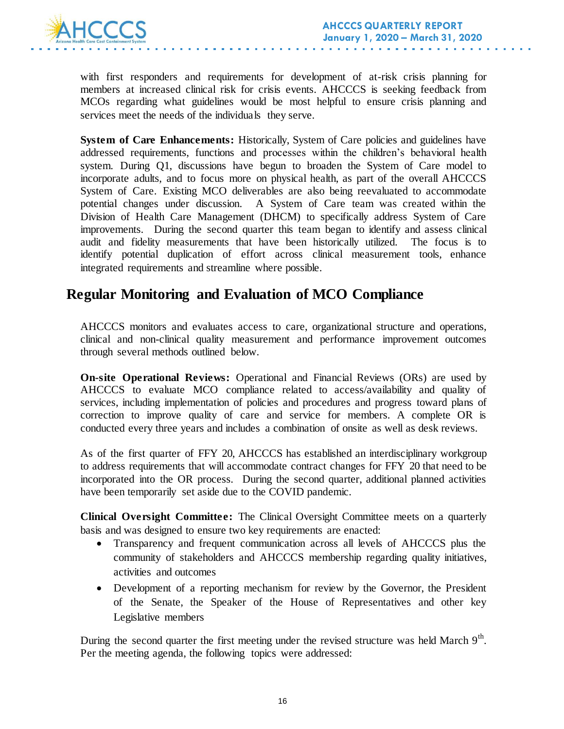

with first responders and requirements for development of at-risk crisis planning for members at increased clinical risk for crisis events. AHCCCS is seeking feedback from MCOs regarding what guidelines would be most helpful to ensure crisis planning and services meet the needs of the individuals they serve.

**System of Care Enhancements:** Historically, System of Care policies and guidelines have addressed requirements, functions and processes within the children's behavioral health system. During Q1, discussions have begun to broaden the System of Care model to incorporate adults, and to focus more on physical health, as part of the overall AHCCCS System of Care. Existing MCO deliverables are also being reevaluated to accommodate potential changes under discussion. A System of Care team was created within the Division of Health Care Management (DHCM) to specifically address System of Care improvements. During the second quarter this team began to identify and assess clinical audit and fidelity measurements that have been historically utilized. The focus is to identify potential duplication of effort across clinical measurement tools, enhance integrated requirements and streamline where possible.

## **Regular Monitoring and Evaluation of MCO Compliance**

AHCCCS monitors and evaluates access to care, organizational structure and operations, clinical and non-clinical quality measurement and performance improvement outcomes through several methods outlined below.

**On-site Operational Reviews:** Operational and Financial Reviews (ORs) are used by AHCCCS to evaluate MCO compliance related to access/availability and quality of services, including implementation of policies and procedures and progress toward plans of correction to improve quality of care and service for members. A complete OR is conducted every three years and includes a combination of onsite as well as desk reviews.

As of the first quarter of FFY 20, AHCCCS has established an interdisciplinary workgroup to address requirements that will accommodate contract changes for FFY 20 that need to be incorporated into the OR process. During the second quarter, additional planned activities have been temporarily set aside due to the COVID pandemic.

**Clinical Oversight Committee:** The Clinical Oversight Committee meets on a quarterly basis and was designed to ensure two key requirements are enacted:

- Transparency and frequent communication across all levels of AHCCCS plus the community of stakeholders and AHCCCS membership regarding quality initiatives, activities and outcomes
- Development of a reporting mechanism for review by the Governor, the President of the Senate, the Speaker of the House of Representatives and other key Legislative members

During the second quarter the first meeting under the revised structure was held March  $9<sup>th</sup>$ . Per the meeting agenda, the following topics were addressed: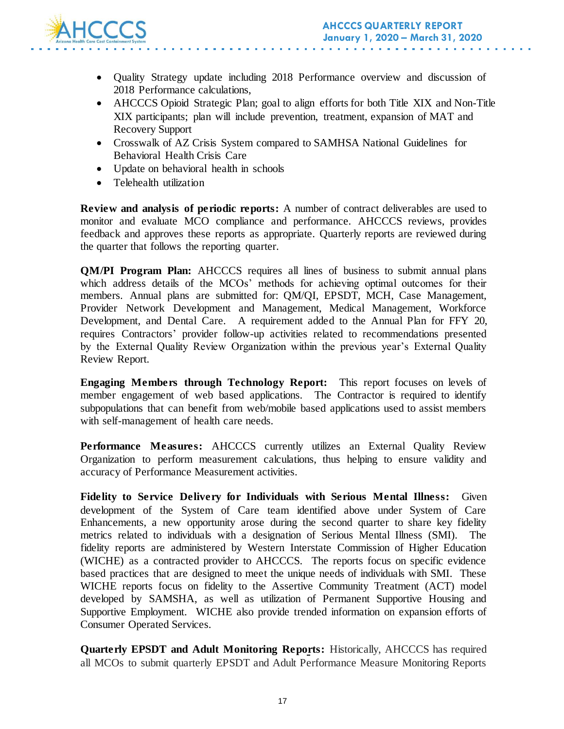

- Quality Strategy update including 2018 Performance overview and discussion of 2018 Performance calculations,
- AHCCCS Opioid Strategic Plan; goal to align efforts for both Title XIX and Non-Title XIX participants; plan will include prevention, treatment, expansion of MAT and Recovery Support
- Crosswalk of AZ Crisis System compared to SAMHSA National Guidelines for Behavioral Health Crisis Care
- Update on behavioral health in schools
- Telehealth utilization

**Review and analysis of periodic reports:** A number of contract deliverables are used to monitor and evaluate MCO compliance and performance. AHCCCS reviews, provides feedback and approves these reports as appropriate. Quarterly reports are reviewed during the quarter that follows the reporting quarter.

**QM/PI Program Plan:** AHCCCS requires all lines of business to submit annual plans which address details of the MCOs' methods for achieving optimal outcomes for their members. Annual plans are submitted for: QM/QI, EPSDT, MCH, Case Management, Provider Network Development and Management, Medical Management, Workforce Development, and Dental Care. A requirement added to the Annual Plan for FFY 20, requires Contractors' provider follow-up activities related to recommendations presented by the External Quality Review Organization within the previous year's External Quality Review Report.

**Engaging Members through Technology Report:** This report focuses on levels of member engagement of web based applications. The Contractor is required to identify subpopulations that can benefit from web/mobile based applications used to assist members with self-management of health care needs.

**Performance Measures:** AHCCCS currently utilizes an External Quality Review Organization to perform measurement calculations, thus helping to ensure validity and accuracy of Performance Measurement activities.

**Fidelity to Service Delivery for Individuals with Serious Mental Illness:** Given development of the System of Care team identified above under System of Care Enhancements, a new opportunity arose during the second quarter to share key fidelity metrics related to individuals with a designation of Serious Mental Illness (SMI). The fidelity reports are administered by Western Interstate Commission of Higher Education (WICHE) as a contracted provider to AHCCCS. The reports focus on specific evidence based practices that are designed to meet the unique needs of individuals with SMI. These WICHE reports focus on fidelity to the Assertive Community Treatment (ACT) model developed by SAMSHA, as well as utilization of Permanent Supportive Housing and Supportive Employment. WICHE also provide trended information on expansion efforts of Consumer Operated Services.

**Quarterly EPSDT and Adult Monitoring Reports:** Historically, AHCCCS has required all MCOs to submit quarterly EPSDT and Adult Performance Measure Monitoring Reports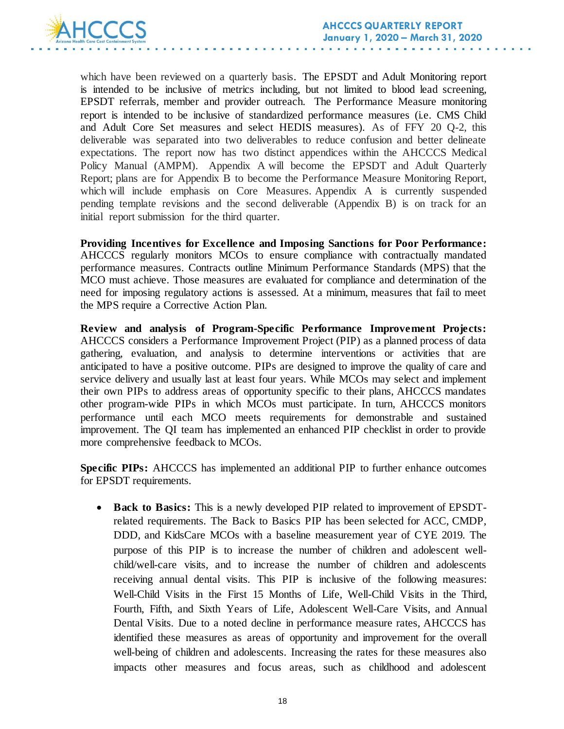

which have been reviewed on a quarterly basis. The EPSDT and Adult Monitoring report is intended to be inclusive of metrics including, but not limited to blood lead screening, EPSDT referrals, member and provider outreach. The Performance Measure monitoring report is intended to be inclusive of standardized performance measures (i.e. CMS Child and Adult Core Set measures and select HEDIS measures). As of FFY 20 Q-2, this deliverable was separated into two deliverables to reduce confusion and better delineate expectations. The report now has two distinct appendices within the AHCCCS Medical Policy Manual (AMPM). Appendix A will become the EPSDT and Adult Quarterly Report; plans are for Appendix B to become the Performance Measure Monitoring Report, which will include emphasis on Core Measures. Appendix A is currently suspended pending template revisions and the second deliverable (Appendix B) is on track for an initial report submission for the third quarter.

**Providing Incentives for Excellence and Imposing Sanctions for Poor Performance:**  AHCCCS regularly monitors MCOs to ensure compliance with contractually mandated performance measures. Contracts outline Minimum Performance Standards (MPS) that the MCO must achieve. Those measures are evaluated for compliance and determination of the need for imposing regulatory actions is assessed. At a minimum, measures that fail to meet the MPS require a Corrective Action Plan.

**Review and analysis of Program-Specific Performance Improvement Projects:**  AHCCCS considers a Performance Improvement Project (PIP) as a planned process of data gathering, evaluation, and analysis to determine interventions or activities that are anticipated to have a positive outcome. PIPs are designed to improve the quality of care and service delivery and usually last at least four years. While MCOs may select and implement their own PIPs to address areas of opportunity specific to their plans, AHCCCS mandates other program-wide PIPs in which MCOs must participate. In turn, AHCCCS monitors performance until each MCO meets requirements for demonstrable and sustained improvement. The QI team has implemented an enhanced PIP checklist in order to provide more comprehensive feedback to MCOs.

**Specific PIPs:** AHCCCS has implemented an additional PIP to further enhance outcomes for EPSDT requirements.

 **Back to Basics:** This is a newly developed PIP related to improvement of EPSDTrelated requirements. The Back to Basics PIP has been selected for ACC, CMDP, DDD, and KidsCare MCOs with a baseline measurement year of CYE 2019. The purpose of this PIP is to increase the number of children and adolescent wellchild/well-care visits, and to increase the number of children and adolescents receiving annual dental visits. This PIP is inclusive of the following measures: Well-Child Visits in the First 15 Months of Life, Well-Child Visits in the Third, Fourth, Fifth, and Sixth Years of Life, Adolescent Well-Care Visits, and Annual Dental Visits. Due to a noted decline in performance measure rates, AHCCCS has identified these measures as areas of opportunity and improvement for the overall well-being of children and adolescents. Increasing the rates for these measures also impacts other measures and focus areas, such as childhood and adolescent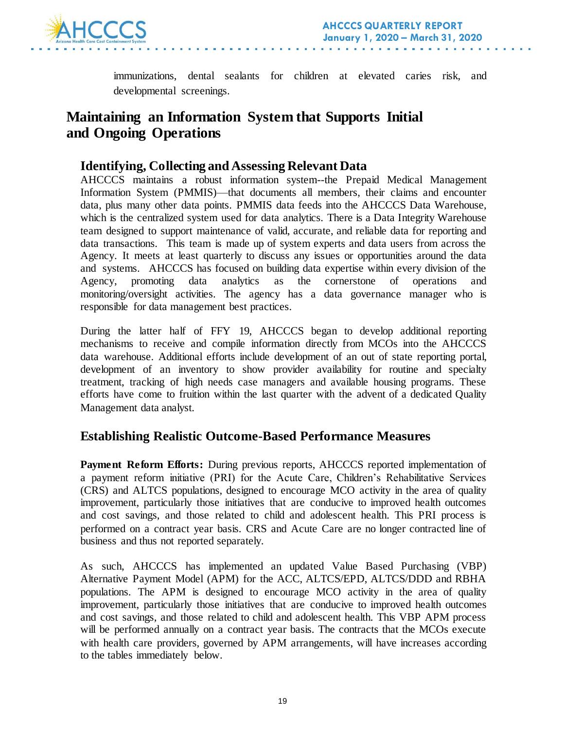

immunizations, dental sealants for children at elevated caries risk, and developmental screenings.

## **Maintaining an Information System that Supports Initial and Ongoing Operations**

### **Identifying, Collecting and Assessing Relevant Data**

AHCCCS maintains a robust information system--the Prepaid Medical Management Information System (PMMIS)—that documents all members, their claims and encounter data, plus many other data points. PMMIS data feeds into the AHCCCS Data Warehouse, which is the centralized system used for data analytics. There is a Data Integrity Warehouse team designed to support maintenance of valid, accurate, and reliable data for reporting and data transactions. This team is made up of system experts and data users from across the Agency. It meets at least quarterly to discuss any issues or opportunities around the data and systems. AHCCCS has focused on building data expertise within every division of the Agency, promoting data analytics as the cornerstone of operations and monitoring/oversight activities. The agency has a data governance manager who is responsible for data management best practices.

During the latter half of FFY 19, AHCCCS began to develop additional reporting mechanisms to receive and compile information directly from MCOs into the AHCCCS data warehouse. Additional efforts include development of an out of state reporting portal, development of an inventory to show provider availability for routine and specialty treatment, tracking of high needs case managers and available housing programs. These efforts have come to fruition within the last quarter with the advent of a dedicated Quality Management data analyst.

### **Establishing Realistic Outcome-Based Performance Measures**

**Payment Reform Efforts:** During previous reports, AHCCCS reported implementation of a payment reform initiative (PRI) for the Acute Care, Children's Rehabilitative Services (CRS) and ALTCS populations, designed to encourage MCO activity in the area of quality improvement, particularly those initiatives that are conducive to improved health outcomes and cost savings, and those related to child and adolescent health. This PRI process is performed on a contract year basis. CRS and Acute Care are no longer contracted line of business and thus not reported separately.

As such, AHCCCS has implemented an updated Value Based Purchasing (VBP) Alternative Payment Model (APM) for the ACC, ALTCS/EPD, ALTCS/DDD and RBHA populations. The APM is designed to encourage MCO activity in the area of quality improvement, particularly those initiatives that are conducive to improved health outcomes and cost savings, and those related to child and adolescent health. This VBP APM process will be performed annually on a contract year basis. The contracts that the MCOs execute with health care providers, governed by APM arrangements, will have increases according to the tables immediately below.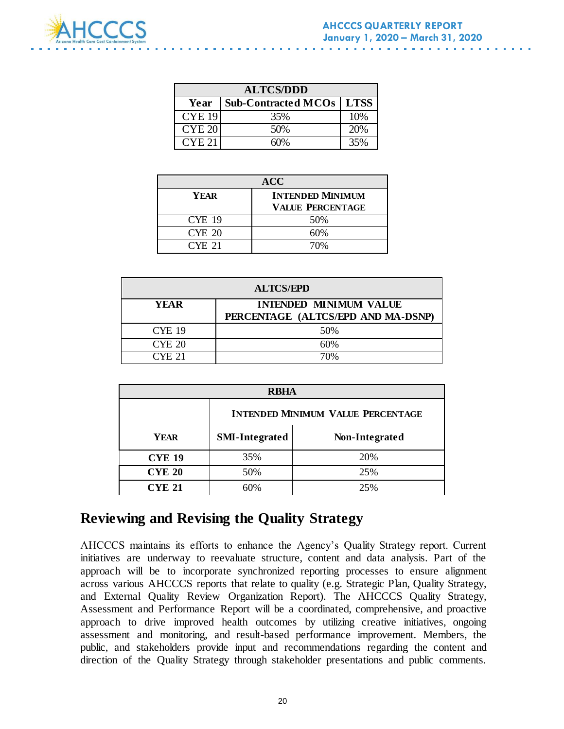

| <b>ALTCS/DDD</b>  |                            |     |  |  |
|-------------------|----------------------------|-----|--|--|
| Year              | Sub-Contracted MCOs   LTSS |     |  |  |
| <b>CYE 19</b>     | 35%                        | 10% |  |  |
| <b>CYE 20</b>     | 50%                        | 20% |  |  |
| CYE <sub>21</sub> |                            |     |  |  |

| <b>ACC</b>    |                         |  |  |
|---------------|-------------------------|--|--|
| YEAR          | <b>INTENDED MINIMUM</b> |  |  |
|               | <b>VALUE PERCENTAGE</b> |  |  |
| <b>CYE 19</b> | 50%                     |  |  |
| CYE 20        | 60%                     |  |  |
| CYE 21        | 70%                     |  |  |

| <b>ALTCS/EPD</b> |                                                                     |  |  |
|------------------|---------------------------------------------------------------------|--|--|
| YEAR             | <b>INTENDED MINIMUM VALUE</b><br>PERCENTAGE (ALTCS/EPD AND MA-DSNP) |  |  |
| <b>CYE 19</b>    | 50%                                                                 |  |  |
| <b>CYE 20</b>    | 60%                                                                 |  |  |
| CYE 21           | 70%                                                                 |  |  |

| <b>RBHA</b>   |                                          |                |  |  |
|---------------|------------------------------------------|----------------|--|--|
|               | <b>INTENDED MINIMUM VALUE PERCENTAGE</b> |                |  |  |
| <b>YEAR</b>   | <b>SMI-Integrated</b>                    | Non-Integrated |  |  |
| <b>CYE 19</b> | 35%                                      | 20%            |  |  |
| <b>CYE 20</b> | 50%                                      | 25%            |  |  |
| <b>CYE 21</b> | ናበ%                                      | 25%            |  |  |

## **Reviewing and Revising the Quality Strategy**

AHCCCS maintains its efforts to enhance the Agency's Quality Strategy report. Current initiatives are underway to reevaluate structure, content and data analysis. Part of the approach will be to incorporate synchronized reporting processes to ensure alignment across various AHCCCS reports that relate to quality (e.g. Strategic Plan, Quality Strategy, and External Quality Review Organization Report). The AHCCCS Quality Strategy, Assessment and Performance Report will be a coordinated, comprehensive, and proactive approach to drive improved health outcomes by utilizing creative initiatives, ongoing assessment and monitoring, and result-based performance improvement. Members, the public, and stakeholders provide input and recommendations regarding the content and direction of the Quality Strategy through stakeholder presentations and public comments.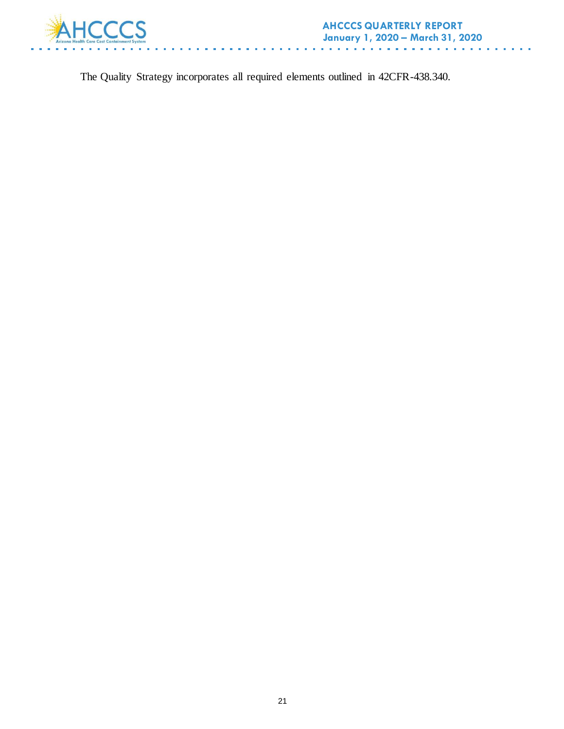

The Quality Strategy incorporates all required elements outlined in 42CFR-438.340.